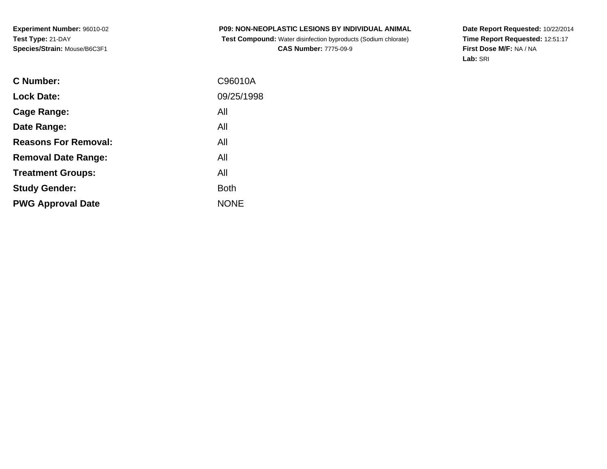**P09: NON-NEOPLASTIC LESIONS BY INDIVIDUAL ANIMALTest Compound:** Water disinfection byproducts (Sodium chlorate)

**CAS Number:** 7775-09-9

**Date Report Requested:** 10/22/2014 **Time Report Requested:** 12:51:17**First Dose M/F:** NA / NA**Lab:** SRI

| <b>Lock Date:</b><br>All<br>Cage Range:<br>All<br>Date Range:<br><b>Reasons For Removal:</b><br>All<br>All<br><b>Removal Date Range:</b><br>All<br><b>Treatment Groups:</b><br><b>Both</b><br><b>Study Gender:</b><br><b>NONE</b><br><b>PWG Approval Date</b> | C Number: | C96010A    |
|---------------------------------------------------------------------------------------------------------------------------------------------------------------------------------------------------------------------------------------------------------------|-----------|------------|
|                                                                                                                                                                                                                                                               |           | 09/25/1998 |
|                                                                                                                                                                                                                                                               |           |            |
|                                                                                                                                                                                                                                                               |           |            |
|                                                                                                                                                                                                                                                               |           |            |
|                                                                                                                                                                                                                                                               |           |            |
|                                                                                                                                                                                                                                                               |           |            |
|                                                                                                                                                                                                                                                               |           |            |
|                                                                                                                                                                                                                                                               |           |            |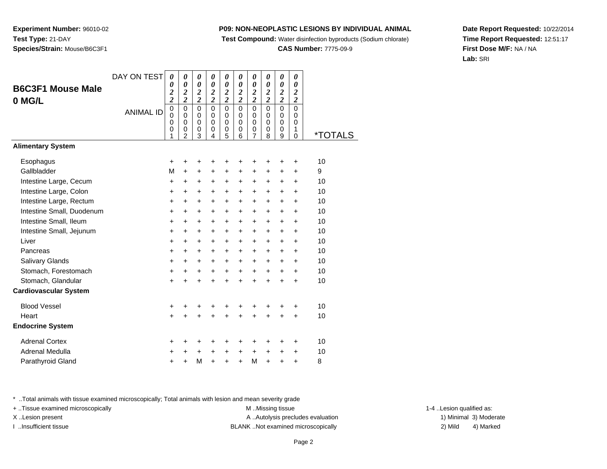**Test Compound:** Water disinfection byproducts (Sodium chlorate)

**CAS Number:** 7775-09-9

**Date Report Requested:** 10/22/2014**Time Report Requested:** 12:51:17**First Dose M/F:** NA / NA**Lab:** SRI

| <b>B6C3F1 Mouse Male</b><br>0 MG/L | DAY ON TESTI<br><b>ANIMAL ID</b> | 0<br>0<br>$\boldsymbol{2}$<br>$\overline{\mathbf{c}}$<br>$\mathbf 0$ | 0<br>0<br>$\boldsymbol{2}$<br>$\overline{c}$<br>$\mathbf 0$ | 0<br>$\boldsymbol{\theta}$<br>$\boldsymbol{2}$<br>$\overline{c}$<br>$\mathbf 0$ | 0<br>0<br>$\boldsymbol{2}$<br>$\overline{c}$<br>$\Omega$ | 0<br>$\boldsymbol{\theta}$<br>$\boldsymbol{2}$<br>$\overline{\mathbf{c}}$<br>$\mathbf 0$ | 0<br>0<br>$\boldsymbol{2}$<br>$\overline{c}$<br>$\Omega$ | 0<br>$\boldsymbol{\theta}$<br>$\boldsymbol{2}$<br>$\overline{\mathbf{c}}$<br>$\mathbf 0$ | 0<br>0<br>$\boldsymbol{2}$<br>$\overline{c}$<br>$\Omega$ | 0<br>$\pmb{\theta}$<br>$\frac{2}{2}$<br>$\mathbf 0$ | 0<br>$\boldsymbol{\theta}$<br>$\boldsymbol{2}$<br>$\overline{c}$<br>$\mathbf 0$ |                       |
|------------------------------------|----------------------------------|----------------------------------------------------------------------|-------------------------------------------------------------|---------------------------------------------------------------------------------|----------------------------------------------------------|------------------------------------------------------------------------------------------|----------------------------------------------------------|------------------------------------------------------------------------------------------|----------------------------------------------------------|-----------------------------------------------------|---------------------------------------------------------------------------------|-----------------------|
|                                    |                                  | $\mathbf 0$<br>0<br>0<br>1                                           | $\mathbf 0$<br>$\mathbf 0$<br>$\pmb{0}$<br>$\overline{2}$   | $\mathbf 0$<br>0<br>$\pmb{0}$<br>3                                              | $\mathbf 0$<br>$\mathbf 0$<br>0<br>4                     | $\mathbf 0$<br>0<br>$\pmb{0}$<br>5                                                       | $\mathbf 0$<br>$\mathbf 0$<br>0<br>6                     | $\mathbf 0$<br>0<br>$\boldsymbol{0}$<br>$\overline{7}$                                   | $\mathbf 0$<br>$\mathbf 0$<br>0<br>8                     | $\mathbf 0$<br>$\mathbf 0$<br>0<br>9                | 0<br>$\mathbf 0$<br>1<br>$\overline{0}$                                         | <i><b>*TOTALS</b></i> |
| <b>Alimentary System</b>           |                                  |                                                                      |                                                             |                                                                                 |                                                          |                                                                                          |                                                          |                                                                                          |                                                          |                                                     |                                                                                 |                       |
| Esophagus                          |                                  | +                                                                    | +                                                           | +                                                                               |                                                          | +                                                                                        | +                                                        | +                                                                                        |                                                          | +                                                   | +                                                                               | 10                    |
| Gallbladder                        |                                  | M                                                                    | $+$                                                         | +                                                                               | +                                                        | +                                                                                        | +                                                        | +                                                                                        | +                                                        | +                                                   | +                                                                               | 9                     |
| Intestine Large, Cecum             |                                  | +                                                                    | $\ddot{}$                                                   | +                                                                               | +                                                        | +                                                                                        | +                                                        | +                                                                                        | +                                                        | +                                                   | $\ddot{}$                                                                       | 10                    |
| Intestine Large, Colon             |                                  | +                                                                    | $\pm$                                                       | +                                                                               | +                                                        | +                                                                                        | +                                                        | +                                                                                        | $\ddot{}$                                                | $\ddot{}$                                           | $\pm$                                                                           | 10                    |
| Intestine Large, Rectum            |                                  | +                                                                    | +                                                           | +                                                                               | +                                                        | +                                                                                        | $\ddot{}$                                                | +                                                                                        | +                                                        | +                                                   | +                                                                               | 10                    |
| Intestine Small, Duodenum          |                                  | +                                                                    | +                                                           | +                                                                               | +                                                        | +                                                                                        | +                                                        | +                                                                                        | $\ddot{}$                                                | +                                                   | $\ddot{}$                                                                       | 10                    |
| Intestine Small, Ileum             |                                  | +                                                                    | +                                                           | +                                                                               | +                                                        | +                                                                                        | +                                                        | +                                                                                        | +                                                        | +                                                   | +                                                                               | 10                    |
| Intestine Small, Jejunum           |                                  | +                                                                    | $\pm$                                                       | $\pm$                                                                           | $\pm$                                                    | $\pm$                                                                                    | $\pm$                                                    | $\pm$                                                                                    | $\pm$                                                    | $\pm$                                               | +                                                                               | 10                    |
| Liver                              |                                  | +                                                                    | $\ddot{}$                                                   | $\ddot{}$                                                                       | +                                                        | $\ddot{}$                                                                                | +                                                        | $\ddot{}$                                                                                | $\ddot{}$                                                | $\ddot{}$                                           | $\ddot{}$                                                                       | 10                    |
| Pancreas                           |                                  | +                                                                    | +                                                           | $\ddot{}$                                                                       | +                                                        | $\ddot{}$                                                                                | +                                                        | $\ddot{}$                                                                                | +                                                        | +                                                   | +                                                                               | 10                    |
| Salivary Glands                    |                                  | +                                                                    | +                                                           | $\ddot{}$                                                                       | +                                                        | $\ddot{}$                                                                                | $\ddot{}$                                                | $\ddot{}$                                                                                | +                                                        | $\ddot{}$                                           | +                                                                               | 10                    |
| Stomach, Forestomach               |                                  | +                                                                    | $\ddot{}$                                                   | +                                                                               | +                                                        | $\ddot{}$                                                                                | +                                                        | +                                                                                        | $\ddot{}$                                                | $\ddot{}$                                           | $\ddot{}$                                                                       | 10                    |
| Stomach, Glandular                 |                                  | $\ddot{}$                                                            | $\ddot{}$                                                   | $\ddot{}$                                                                       | $\ddot{}$                                                | $\ddot{}$                                                                                | $\ddot{}$                                                | $\ddot{}$                                                                                | $\ddot{}$                                                | $\pm$                                               | $\pm$                                                                           | 10                    |
| <b>Cardiovascular System</b>       |                                  |                                                                      |                                                             |                                                                                 |                                                          |                                                                                          |                                                          |                                                                                          |                                                          |                                                     |                                                                                 |                       |
| <b>Blood Vessel</b>                |                                  | +                                                                    |                                                             | +                                                                               | +                                                        | +                                                                                        |                                                          |                                                                                          |                                                          | +                                                   | +                                                                               | 10                    |
| Heart                              |                                  | $\ddot{}$                                                            |                                                             | $\ddot{}$                                                                       | $\ddot{}$                                                | $\ddot{}$                                                                                | $\ddot{}$                                                | $\ddot{}$                                                                                | $\ddot{}$                                                | $\ddot{}$                                           | $\ddot{}$                                                                       | 10                    |
| <b>Endocrine System</b>            |                                  |                                                                      |                                                             |                                                                                 |                                                          |                                                                                          |                                                          |                                                                                          |                                                          |                                                     |                                                                                 |                       |
| <b>Adrenal Cortex</b>              |                                  | +                                                                    |                                                             | +                                                                               |                                                          |                                                                                          |                                                          | +                                                                                        |                                                          | +                                                   | ٠                                                                               | 10                    |
| Adrenal Medulla                    |                                  | +                                                                    | +                                                           | +                                                                               | +                                                        | +                                                                                        | +                                                        | $\ddot{}$                                                                                | +                                                        | +                                                   | +                                                                               | 10                    |
| Parathyroid Gland                  |                                  | +                                                                    |                                                             | M                                                                               | $\ddot{}$                                                | $\ddot{}$                                                                                | $\ddot{}$                                                | M                                                                                        | $\ddot{}$                                                | +                                                   | $\ddot{}$                                                                       | 8                     |
|                                    |                                  |                                                                      |                                                             |                                                                                 |                                                          |                                                                                          |                                                          |                                                                                          |                                                          |                                                     |                                                                                 |                       |

\* ..Total animals with tissue examined microscopically; Total animals with lesion and mean severity grade

**Experiment Number:** 96010-02

**Species/Strain:** Mouse/B6C3F1

**Test Type:** 21-DAY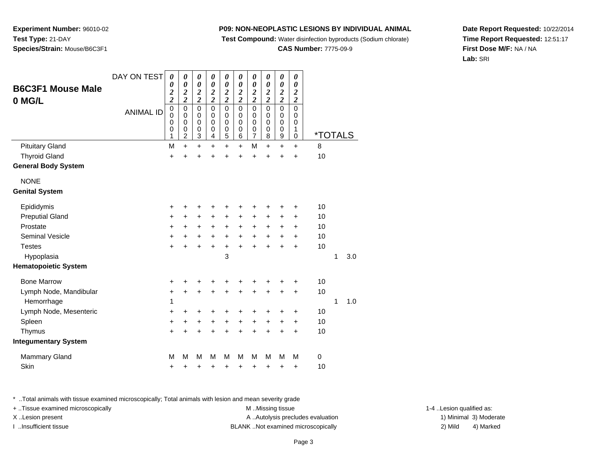**Test Compound:** Water disinfection byproducts (Sodium chlorate)

**CAS Number:** 7775-09-9

**Date Report Requested:** 10/22/2014**Time Report Requested:** 12:51:17**First Dose M/F:** NA / NA**Lab:** SRI

| <b>B6C3F1 Mouse Male</b><br>0 MG/L | DAY ON TEST      | 0<br>0<br>$\frac{2}{2}$         | 0<br>$\boldsymbol{\theta}$<br>$\frac{2}{2}$            | 0<br>0<br>$\frac{2}{2}$                   | 0<br>$\boldsymbol{\theta}$<br>$\frac{2}{2}$ | 0<br>0<br>$\frac{2}{2}$                                                 | 0<br>$\boldsymbol{\theta}$<br>$\frac{2}{2}$ | 0<br>0<br>$\frac{2}{2}$                             | 0<br>$\boldsymbol{\theta}$<br>$\frac{2}{2}$ | 0<br>$\boldsymbol{\theta}$<br>$\frac{2}{2}$ | 0<br>$\boldsymbol{\theta}$<br>$\boldsymbol{2}$<br>$\overline{\mathbf{c}}$ |                       |   |     |
|------------------------------------|------------------|---------------------------------|--------------------------------------------------------|-------------------------------------------|---------------------------------------------|-------------------------------------------------------------------------|---------------------------------------------|-----------------------------------------------------|---------------------------------------------|---------------------------------------------|---------------------------------------------------------------------------|-----------------------|---|-----|
|                                    | <b>ANIMAL ID</b> | $\mathbf 0$<br>0<br>0<br>0<br>1 | $\mathbf 0$<br>$\mathbf 0$<br>0<br>0<br>$\overline{2}$ | $\mathsf 0$<br>$\mathbf 0$<br>0<br>0<br>3 | $\mathbf 0$<br>$\mathbf 0$<br>0<br>0<br>4   | $\mathsf 0$<br>$\mathbf 0$<br>0<br>$\begin{matrix} 0 \\ 5 \end{matrix}$ | $\mathbf 0$<br>0<br>0<br>0<br>6             | $\mathbf 0$<br>$\mathbf 0$<br>$\mathbf 0$<br>0<br>7 | $\mathbf 0$<br>$\mathbf 0$<br>0<br>0<br>8   | $\mathbf 0$<br>$\mathbf 0$<br>0<br>0<br>9   | $\mathbf 0$<br>0<br>0<br>1<br>$\mathbf 0$                                 | <i><b>*TOTALS</b></i> |   |     |
| <b>Pituitary Gland</b>             |                  | M                               | $\ddot{}$                                              | $\ddot{}$                                 | $+$                                         | $+$                                                                     | $\ddot{}$                                   | M                                                   | $\ddot{}$                                   | $\ddot{}$                                   | $\ddot{}$                                                                 | 8                     |   |     |
| <b>Thyroid Gland</b>               |                  | $\ddot{}$                       | Ŧ.                                                     | $\ddot{}$                                 |                                             | $\ddot{}$                                                               | ÷                                           | $\ddot{}$                                           | $\ddot{}$                                   | $\ddot{}$                                   | $\ddot{}$                                                                 | 10                    |   |     |
| <b>General Body System</b>         |                  |                                 |                                                        |                                           |                                             |                                                                         |                                             |                                                     |                                             |                                             |                                                                           |                       |   |     |
| <b>NONE</b>                        |                  |                                 |                                                        |                                           |                                             |                                                                         |                                             |                                                     |                                             |                                             |                                                                           |                       |   |     |
| <b>Genital System</b>              |                  |                                 |                                                        |                                           |                                             |                                                                         |                                             |                                                     |                                             |                                             |                                                                           |                       |   |     |
| Epididymis                         |                  | +                               | +                                                      | +                                         | +                                           | +                                                                       | +                                           | +                                                   | +                                           | +                                           | +                                                                         | 10                    |   |     |
| <b>Preputial Gland</b>             |                  | $\ddot{}$                       | $\ddot{}$                                              | +                                         | $\ddot{}$                                   | $\ddot{}$                                                               | $\ddot{}$                                   | +                                                   | $\ddot{}$                                   | +                                           | $\ddot{}$                                                                 | 10                    |   |     |
| Prostate                           |                  | +                               | +                                                      | $\ddot{}$                                 | $\ddot{}$                                   | $\ddot{}$                                                               | $\ddot{}$                                   | $\ddot{}$                                           | $\ddot{}$                                   | $\pm$                                       | $\ddot{}$                                                                 | 10                    |   |     |
| <b>Seminal Vesicle</b>             |                  | $\ddot{}$                       | $\ddot{}$                                              | +                                         | $\ddot{}$                                   | $\ddot{}$                                                               | $\ddot{}$                                   | $\ddot{}$                                           | $\ddot{}$                                   | $\ddot{}$                                   | $\ddot{}$                                                                 | 10                    |   |     |
| <b>Testes</b>                      |                  | $\ddot{}$                       | $\ddot{}$                                              | $\ddot{}$                                 | $\ddot{}$                                   | $\ddot{}$                                                               | $\ddot{}$                                   | $\ddot{}$                                           | $\ddot{}$                                   | $\ddot{}$                                   | $\ddot{}$                                                                 | 10                    |   |     |
| Hypoplasia                         |                  |                                 |                                                        |                                           |                                             | 3                                                                       |                                             |                                                     |                                             |                                             |                                                                           |                       | 1 | 3.0 |
| <b>Hematopoietic System</b>        |                  |                                 |                                                        |                                           |                                             |                                                                         |                                             |                                                     |                                             |                                             |                                                                           |                       |   |     |
| <b>Bone Marrow</b>                 |                  | +                               | +                                                      | +                                         |                                             | +                                                                       |                                             |                                                     |                                             |                                             |                                                                           | 10                    |   |     |
| Lymph Node, Mandibular             |                  | +                               | $\ddot{}$                                              | $\ddot{}$                                 | $\ddot{}$                                   | +                                                                       | $\ddot{}$                                   | +                                                   | +                                           | +                                           | +                                                                         | 10                    |   |     |
| Hemorrhage                         |                  | 1                               |                                                        |                                           |                                             |                                                                         |                                             |                                                     |                                             |                                             |                                                                           |                       | 1 | 1.0 |
| Lymph Node, Mesenteric             |                  | $\ddot{}$                       | +                                                      | +                                         | +                                           | +                                                                       | +                                           | +                                                   | +                                           |                                             | +                                                                         | 10                    |   |     |
| Spleen                             |                  | $\ddot{}$                       | +                                                      | +                                         | +                                           | $\ddot{}$                                                               | +                                           | +                                                   | +                                           | +                                           | $\ddot{}$                                                                 | 10                    |   |     |
| Thymus                             |                  | $\ddot{}$                       | $\ddot{}$                                              | $\ddot{}$                                 | $\ddot{}$                                   | $\ddot{}$                                                               | ÷                                           | $\ddot{}$                                           | $\ddot{}$                                   | $\ddot{}$                                   | $\ddot{}$                                                                 | 10                    |   |     |
| <b>Integumentary System</b>        |                  |                                 |                                                        |                                           |                                             |                                                                         |                                             |                                                     |                                             |                                             |                                                                           |                       |   |     |
| <b>Mammary Gland</b>               |                  | M                               | М                                                      | М                                         | м                                           | M                                                                       | M                                           | M                                                   | М                                           | M                                           | M                                                                         | $\pmb{0}$             |   |     |
| Skin                               |                  | +                               | +                                                      | +                                         | +                                           | +                                                                       | +                                           | +                                                   | +                                           | +                                           | +                                                                         | 10                    |   |     |

\* ..Total animals with tissue examined microscopically; Total animals with lesion and mean severity grade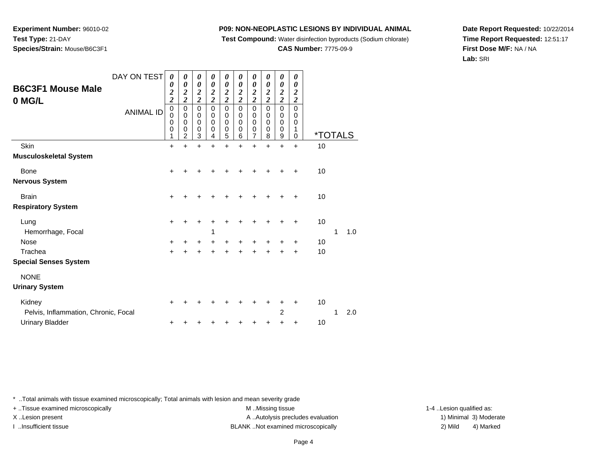**Test Compound:** Water disinfection byproducts (Sodium chlorate)

**CAS Number:** 7775-09-9

**Date Report Requested:** 10/22/2014**Time Report Requested:** 12:51:17**First Dose M/F:** NA / NA**Lab:** SRI

| <b>B6C3F1 Mouse Male</b><br>0 MG/L | DAY ON TEST<br><b>ANIMAL ID</b> | $\boldsymbol{\theta}$<br>0<br>$\frac{2}{2}$<br>$\mathbf 0$<br>0<br>0<br>$\mathbf 0$<br>1 | 0<br>$\boldsymbol{\theta}$<br>$\frac{2}{2}$<br>$\pmb{0}$<br>$\pmb{0}$<br>0<br>0<br>2 | 0<br>0<br>$\frac{2}{2}$<br>$\mathsf 0$<br>0<br>0<br>0<br>3 | 0<br>0<br>$\boldsymbol{2}$<br>$\overline{\mathbf{c}}$<br>$\mathbf 0$<br>0<br>0<br>0<br>4 | 0<br>0<br>$\frac{2}{2}$<br>$\mathsf 0$<br>0<br>0<br>0<br>5 | 0<br>0<br>$\boldsymbol{2}$<br>$\overline{\mathbf{c}}$<br>$\mathbf 0$<br>0<br>0<br>0<br>6 | 0<br>0<br>$\frac{2}{2}$<br>$\mathsf 0$<br>0<br>0<br>0<br>$\overline{7}$ | 0<br>0<br>$\boldsymbol{2}$<br>$\overline{\mathbf{c}}$<br>$\mathbf 0$<br>0<br>0<br>0<br>8 | 0<br>0<br>$\frac{2}{2}$<br>$\mathsf 0$<br>0<br>0<br>0<br>9 | 0<br>0<br>2<br>$\overline{c}$<br>$\Omega$<br>0<br>0<br>1<br>$\Omega$ | <i><b>*TOTALS</b></i> |   |     |
|------------------------------------|---------------------------------|------------------------------------------------------------------------------------------|--------------------------------------------------------------------------------------|------------------------------------------------------------|------------------------------------------------------------------------------------------|------------------------------------------------------------|------------------------------------------------------------------------------------------|-------------------------------------------------------------------------|------------------------------------------------------------------------------------------|------------------------------------------------------------|----------------------------------------------------------------------|-----------------------|---|-----|
| Skin                               |                                 | $\ddot{}$                                                                                | Ŧ.                                                                                   | $\ddot{}$                                                  | $\ddot{}$                                                                                | $\ddot{}$                                                  | $\ddot{}$                                                                                | $\ddot{}$                                                               | $\ddot{}$                                                                                | $\ddot{}$                                                  | $\ddot{}$                                                            | 10                    |   |     |
| Musculoskeletal System             |                                 |                                                                                          |                                                                                      |                                                            |                                                                                          |                                                            |                                                                                          |                                                                         |                                                                                          |                                                            |                                                                      |                       |   |     |
| Bone                               |                                 | $\ddot{}$                                                                                |                                                                                      |                                                            |                                                                                          |                                                            |                                                                                          | ٠                                                                       |                                                                                          | +                                                          | +                                                                    | 10                    |   |     |
| Nervous System                     |                                 |                                                                                          |                                                                                      |                                                            |                                                                                          |                                                            |                                                                                          |                                                                         |                                                                                          |                                                            |                                                                      |                       |   |     |
| <b>Brain</b>                       |                                 | $\ddot{}$                                                                                |                                                                                      |                                                            |                                                                                          |                                                            |                                                                                          |                                                                         |                                                                                          |                                                            | +                                                                    | 10                    |   |     |
| <b>Respiratory System</b>          |                                 |                                                                                          |                                                                                      |                                                            |                                                                                          |                                                            |                                                                                          |                                                                         |                                                                                          |                                                            |                                                                      |                       |   |     |
| Lung                               |                                 | $\ddot{}$                                                                                |                                                                                      |                                                            |                                                                                          |                                                            |                                                                                          |                                                                         |                                                                                          | +                                                          | ÷                                                                    | 10                    |   |     |
| Hemorrhage, Focal                  |                                 |                                                                                          |                                                                                      |                                                            | 1                                                                                        |                                                            |                                                                                          |                                                                         |                                                                                          |                                                            |                                                                      |                       | 1 | 1.0 |
| Nose                               |                                 | $\ddot{}$                                                                                |                                                                                      | +                                                          | +                                                                                        | +                                                          | +                                                                                        | +                                                                       |                                                                                          | +                                                          | ٠                                                                    | 10                    |   |     |
| Trachea                            |                                 | $\ddot{}$                                                                                |                                                                                      |                                                            |                                                                                          | $\ddot{}$                                                  |                                                                                          | ÷                                                                       |                                                                                          | $\ddot{}$                                                  | $\ddot{}$                                                            | 10                    |   |     |
| <b>Special Senses System</b>       |                                 |                                                                                          |                                                                                      |                                                            |                                                                                          |                                                            |                                                                                          |                                                                         |                                                                                          |                                                            |                                                                      |                       |   |     |
| <b>NONE</b>                        |                                 |                                                                                          |                                                                                      |                                                            |                                                                                          |                                                            |                                                                                          |                                                                         |                                                                                          |                                                            |                                                                      |                       |   |     |
| <b>Urinary System</b>              |                                 |                                                                                          |                                                                                      |                                                            |                                                                                          |                                                            |                                                                                          |                                                                         |                                                                                          |                                                            |                                                                      |                       |   |     |
| Kidney                             |                                 | ٠                                                                                        |                                                                                      |                                                            |                                                                                          |                                                            |                                                                                          |                                                                         |                                                                                          |                                                            | ٠                                                                    | 10                    |   |     |

| Kidnev                               |  |  |  |  | + + + + + + + + + + |  |               |
|--------------------------------------|--|--|--|--|---------------------|--|---------------|
| Pelvis, Inflammation, Chronic, Focal |  |  |  |  |                     |  | $1 \quad 2.0$ |
| Urinary Bladder                      |  |  |  |  | + + + + + + + + + + |  |               |

\* ..Total animals with tissue examined microscopically; Total animals with lesion and mean severity grade

**Experiment Number:** 96010-02

**Species/Strain:** Mouse/B6C3F1

**Test Type:** 21-DAY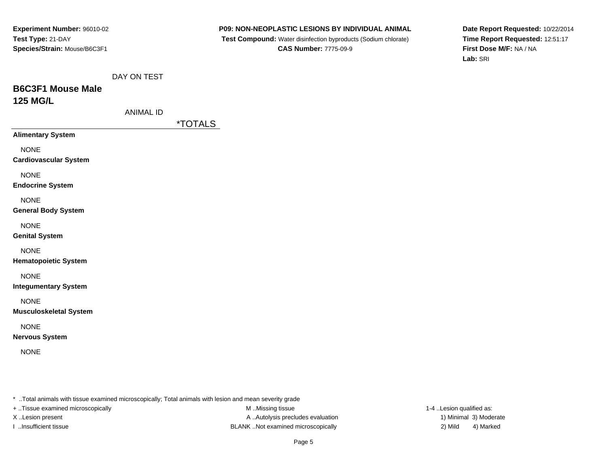**P09: NON-NEOPLASTIC LESIONS BY INDIVIDUAL ANIMAL**

 **Test Compound:** Water disinfection byproducts (Sodium chlorate)**CAS Number:** 7775-09-9

**Date Report Requested:** 10/22/2014**Time Report Requested:** 12:51:17**First Dose M/F:** NA / NA**Lab:** SRI

# **B6C3F1 Mouse Male125 MG/L**

| ANIMAL ID |  |
|-----------|--|
|           |  |

\*TOTALS

**Alimentary System**

NONE

**Cardiovascular System**

NONE

**Endocrine System**

NONE

#### **General Body System**

NONE

**Genital System**

### NONE

**Hematopoietic System**

### NONE

**Integumentary System**

NONE

**Musculoskeletal System**

### NONE

**Nervous System**

NONE

\* ..Total animals with tissue examined microscopically; Total animals with lesion and mean severity grade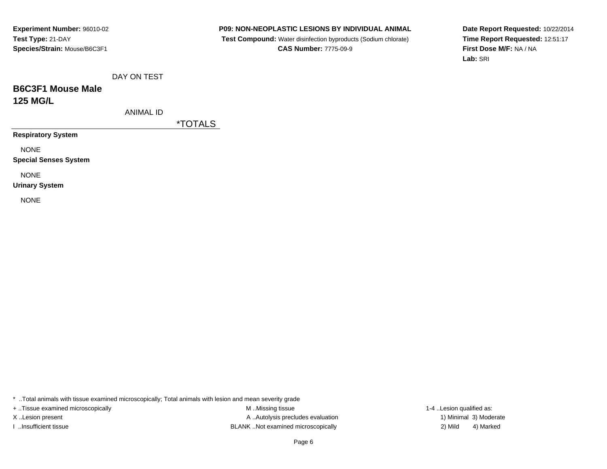**P09: NON-NEOPLASTIC LESIONS BY INDIVIDUAL ANIMAL**

 **Test Compound:** Water disinfection byproducts (Sodium chlorate)**CAS Number:** 7775-09-9

**Date Report Requested:** 10/22/2014**Time Report Requested:** 12:51:17**First Dose M/F:** NA / NA**Lab:** SRI

DAY ON TEST

# **B6C3F1 Mouse Male125 MG/L**

ANIMAL ID

\*TOTALS

**Respiratory System**

NONE

**Special Senses System**

NONE

**Urinary System**

NONE

\* ..Total animals with tissue examined microscopically; Total animals with lesion and mean severity grade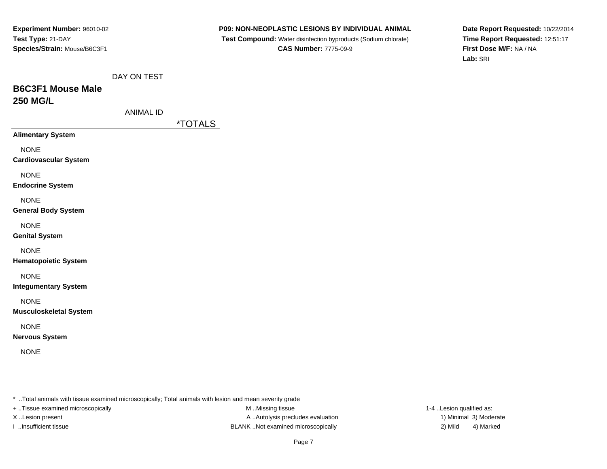**P09: NON-NEOPLASTIC LESIONS BY INDIVIDUAL ANIMAL**

 **Test Compound:** Water disinfection byproducts (Sodium chlorate)**CAS Number:** 7775-09-9

**Date Report Requested:** 10/22/2014**Time Report Requested:** 12:51:17**First Dose M/F:** NA / NA**Lab:** SRI

# **B6C3F1 Mouse Male250 MG/L**

| ANIMAL ID |  |
|-----------|--|
|           |  |

\*TOTALS

**Alimentary System**

NONE

**Cardiovascular System**

NONE

**Endocrine System**

NONE

#### **General Body System**

NONE

**Genital System**

### NONE

**Hematopoietic System**

### NONE

**Integumentary System**

NONE

**Musculoskeletal System**

### NONE

**Nervous System**

NONE

\* ..Total animals with tissue examined microscopically; Total animals with lesion and mean severity grade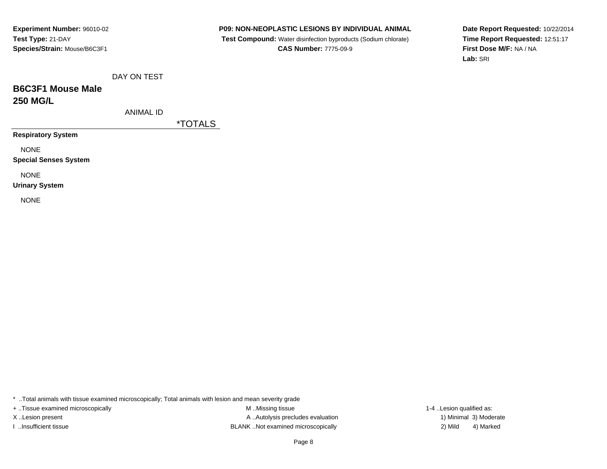**P09: NON-NEOPLASTIC LESIONS BY INDIVIDUAL ANIMAL**

 **Test Compound:** Water disinfection byproducts (Sodium chlorate)**CAS Number:** 7775-09-9

**Date Report Requested:** 10/22/2014**Time Report Requested:** 12:51:17**First Dose M/F:** NA / NA**Lab:** SRI

DAY ON TEST

# **B6C3F1 Mouse Male250 MG/L**

ANIMAL ID

\*TOTALS

**Respiratory System**

NONE

**Special Senses System**

NONE

**Urinary System**

NONE

\* ..Total animals with tissue examined microscopically; Total animals with lesion and mean severity grade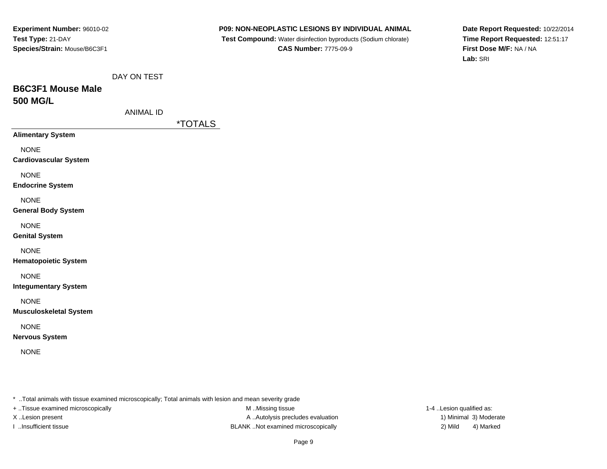**P09: NON-NEOPLASTIC LESIONS BY INDIVIDUAL ANIMAL**

 **Test Compound:** Water disinfection byproducts (Sodium chlorate)**CAS Number:** 7775-09-9

**Date Report Requested:** 10/22/2014**Time Report Requested:** 12:51:17**First Dose M/F:** NA / NA**Lab:** SRI

|  | DAY ON TEST |
|--|-------------|
|  |             |

# **B6C3F1 Mouse Male500 MG/L**

| ANIMAL ID |  |
|-----------|--|
|           |  |

\*TOTALS

**Alimentary System**

NONE

**Cardiovascular System**

NONE

**Endocrine System**

NONE

#### **General Body System**

NONE

**Genital System**

#### NONE

**Hematopoietic System**

### NONE

**Integumentary System**

NONE

**Musculoskeletal System**

### NONE

**Nervous System**

NONE

\* ..Total animals with tissue examined microscopically; Total animals with lesion and mean severity grade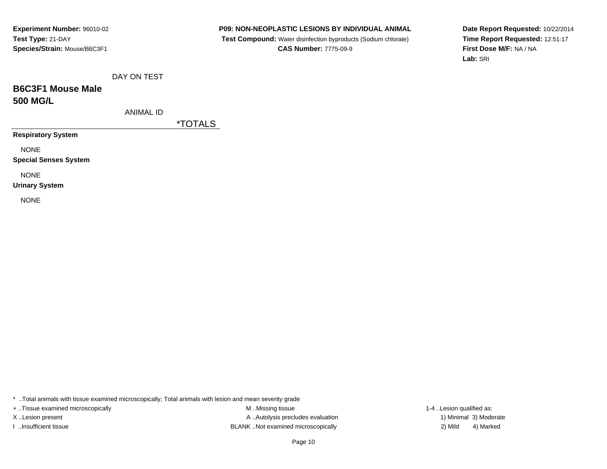**P09: NON-NEOPLASTIC LESIONS BY INDIVIDUAL ANIMAL**

 **Test Compound:** Water disinfection byproducts (Sodium chlorate)**CAS Number:** 7775-09-9

**Date Report Requested:** 10/22/2014**Time Report Requested:** 12:51:17**First Dose M/F:** NA / NA**Lab:** SRI

DAY ON TEST

# **B6C3F1 Mouse Male500 MG/L**

ANIMAL ID

\*TOTALS

**Respiratory System**

NONE

**Special Senses System**

NONE

**Urinary System**

NONE

\* ..Total animals with tissue examined microscopically; Total animals with lesion and mean severity grade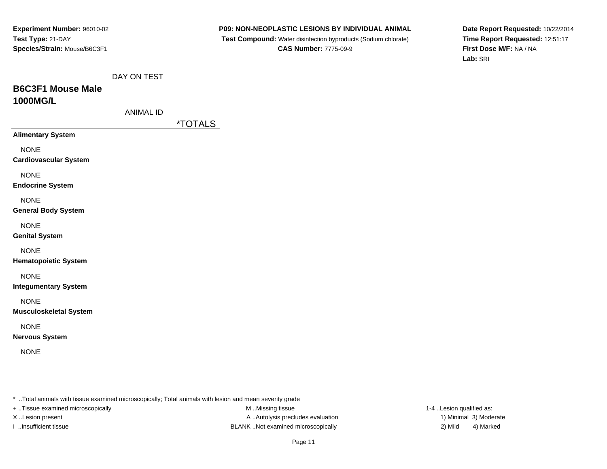**P09: NON-NEOPLASTIC LESIONS BY INDIVIDUAL ANIMAL**

 **Test Compound:** Water disinfection byproducts (Sodium chlorate)**CAS Number:** 7775-09-9

**Date Report Requested:** 10/22/2014**Time Report Requested:** 12:51:17**First Dose M/F:** NA / NA**Lab:** SRI

|--|

### **B6C3F1 Mouse Male1000MG/L**

| ANIMAL ID |  |
|-----------|--|
|           |  |

\*TOTALS

**Alimentary System**

NONE

**Cardiovascular System**

NONE

**Endocrine System**

NONE

#### **General Body System**

NONE

**Genital System**

NONE

**Hematopoietic System**

### NONE

**Integumentary System**

NONE

**Musculoskeletal System**

NONE

**Nervous System**

NONE

\* ..Total animals with tissue examined microscopically; Total animals with lesion and mean severity grade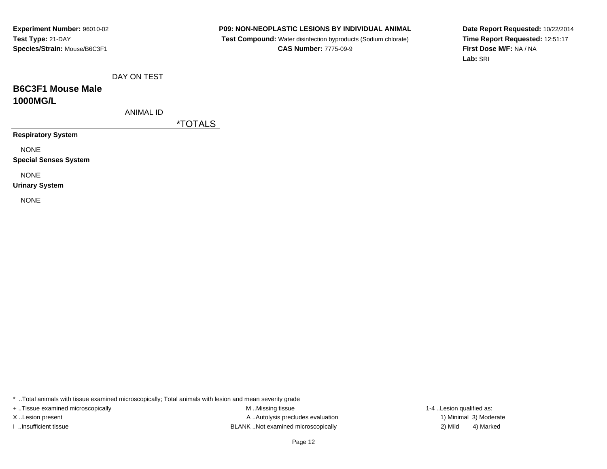**P09: NON-NEOPLASTIC LESIONS BY INDIVIDUAL ANIMAL**

 **Test Compound:** Water disinfection byproducts (Sodium chlorate)**CAS Number:** 7775-09-9

**Date Report Requested:** 10/22/2014**Time Report Requested:** 12:51:17**First Dose M/F:** NA / NA**Lab:** SRI

DAY ON TEST

# **B6C3F1 Mouse Male1000MG/L**

ANIMAL ID

\*TOTALS

**Respiratory System**

NONE

**Special Senses System**

NONE

**Urinary System**

NONE

\* ..Total animals with tissue examined microscopically; Total animals with lesion and mean severity grade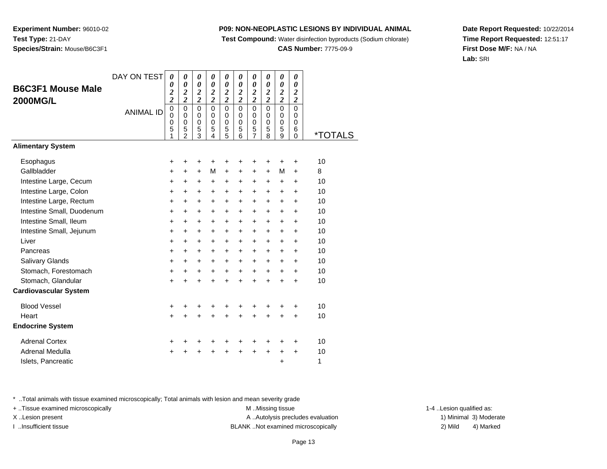**Test Compound:** Water disinfection byproducts (Sodium chlorate)

**CAS Number:** 7775-09-9

**Date Report Requested:** 10/22/2014**Time Report Requested:** 12:51:17**First Dose M/F:** NA / NA**Lab:** SRI

\* ..Total animals with tissue examined microscopically; Total animals with lesion and mean severity grade

+ ..Tissue examined microscopically examined microscopically examined as:  $M$  ..Missing tissue 1-4 ..Lesion qualified as:

**Experiment Number:** 96010-02**Test Type:** 21-DAY

**B6C3F1 Mouse Male**

**2000MG/L**

| <b>Experiment Number: 96010-02</b> |
|------------------------------------|
| Test Type: 21-DAY                  |
| Species/Strain: Mouse/B6C3F1       |
|                                    |
|                                    |

DAY ON TEST

|                           | <b>ANIMAL ID</b> | 0<br>0<br>$\boldsymbol{0}$ | 0<br>$\mathsf 0$<br>0 | 0<br>$\mathsf 0$<br>$\mathbf 0$ | 0<br>$\mathsf 0$<br>$\pmb{0}$ | 0<br>$\mathsf 0$<br>$\mathbf 0$ | 0<br>$\mathsf 0$<br>$\pmb{0}$ | 0<br>$\mathsf 0$<br>$\mathbf 0$ | 0<br>$\mathsf 0$<br>$\pmb{0}$ | 0<br>$\mathsf 0$<br>$\mathbf 0$ | 0<br>$\mathbf 0$<br>$\mathbf 0$ |                       |
|---------------------------|------------------|----------------------------|-----------------------|---------------------------------|-------------------------------|---------------------------------|-------------------------------|---------------------------------|-------------------------------|---------------------------------|---------------------------------|-----------------------|
|                           |                  | 5<br>1                     | $\frac{5}{2}$         | $\frac{5}{3}$                   | $\mathbf 5$<br>4              | $\frac{5}{5}$                   | $\mathbf 5$<br>6              | $\frac{5}{7}$                   | $\mathbf 5$<br>$\overline{8}$ | $\frac{5}{9}$                   | 6<br>$\overline{0}$             | <i><b>*TOTALS</b></i> |
| <b>Alimentary System</b>  |                  |                            |                       |                                 |                               |                                 |                               |                                 |                               |                                 |                                 |                       |
| Esophagus                 |                  | $\ddot{}$                  | +                     | +                               |                               | +                               | +                             | +                               | +                             | +                               | +                               | 10                    |
| Gallbladder               |                  | $\ddot{}$                  | $\pm$                 | $+$                             | М                             | $\ddot{}$                       | $\ddot{}$                     | $+$                             | $+$                           | М                               | +                               | 8                     |
| Intestine Large, Cecum    |                  | $\ddot{}$                  | +                     | +                               | $\ddot{}$                     | $\ddot{}$                       | $\ddot{}$                     | +                               | +                             | +                               | $\pm$                           | 10                    |
| Intestine Large, Colon    |                  | $\ddot{}$                  | $\ddot{}$             | $\ddot{}$                       | $\ddot{}$                     | $\ddot{}$                       | $\ddot{}$                     | $\ddot{}$                       | $\ddot{}$                     | $\ddot{}$                       | +                               | 10                    |
| Intestine Large, Rectum   |                  | $\ddot{}$                  | $\ddot{}$             | $\ddot{}$                       | $\ddot{}$                     | $\ddot{}$                       | $\ddot{}$                     | $\ddot{}$                       | $\ddot{}$                     | $\ddot{}$                       | $\ddot{}$                       | 10                    |
| Intestine Small, Duodenum |                  | $\ddot{}$                  | +                     | $\ddot{}$                       | +                             | $\ddot{}$                       | $\ddot{}$                     | $\ddot{}$                       | +                             | $\ddot{}$                       | +                               | 10                    |
| Intestine Small, Ileum    |                  | $\ddot{}$                  | $\ddot{}$             | $\ddot{}$                       | $\ddot{}$                     | $\ddot{}$                       | $\ddot{}$                     | $\ddot{}$                       | $\ddot{}$                     | +                               | $\pm$                           | 10                    |
| Intestine Small, Jejunum  |                  | +                          | $\pm$                 | $\pm$                           | $\pm$                         | +                               | $\pm$                         | $\pm$                           | $\pm$                         | $\pm$                           | $\pm$                           | 10                    |
| Liver                     |                  | $\ddot{}$                  | $\ddot{}$             | $\ddot{}$                       | $\ddot{}$                     | $\ddot{}$                       | $\ddot{}$                     | $\ddot{}$                       | $\ddot{}$                     | $\ddot{}$                       | +                               | 10                    |
| Pancreas                  |                  | $\ddot{}$                  | $\pm$                 | +                               | +                             | +                               | +                             | $\pm$                           | $\pm$                         | ٠                               | $\pm$                           | 10                    |
| Salivary Glands           |                  | $\ddot{}$                  | $+$                   | $\ddot{}$                       | $\ddot{}$                     | $\ddot{}$                       | $\ddot{}$                     | $\ddot{}$                       | $+$                           | $\ddot{}$                       | +                               | 10                    |
| Stomach, Forestomach      |                  | $\ddot{}$                  | +                     | $\ddot{}$                       | $\ddot{}$                     | $\ddot{}$                       | $\ddot{}$                     | $\ddot{}$                       | $\ddot{}$                     | $\ddot{}$                       | $\ddot{}$                       | 10                    |
| Stomach, Glandular        |                  | $+$                        | $\ddot{}$             | $+$                             | $\ddot{}$                     | $+$                             | $\ddot{}$                     | $+$                             | $\ddot{}$                     | $+$                             | $\ddot{}$                       | 10                    |
| Cardiovascular System     |                  |                            |                       |                                 |                               |                                 |                               |                                 |                               |                                 |                                 |                       |
| <b>Blood Vessel</b>       |                  | $\ddot{}$                  |                       |                                 |                               | +                               |                               |                                 |                               |                                 | ٠                               | 10                    |
| Heart                     |                  | $\ddot{}$                  | $\ddot{}$             | +                               | $\ddot{}$                     | +                               | $\ddot{}$                     | +                               | $\ddot{}$                     | +                               | +                               | 10                    |
| <b>Endocrine System</b>   |                  |                            |                       |                                 |                               |                                 |                               |                                 |                               |                                 |                                 |                       |
| <b>Adrenal Cortex</b>     |                  | +                          |                       |                                 |                               |                                 |                               |                                 |                               |                                 | ٠                               | 10                    |
| Adrenal Medulla           |                  | $\ddot{}$                  |                       |                                 |                               | +                               | +                             | +                               | +                             | +                               | $\pm$                           | 10                    |
| Islets, Pancreatic        |                  |                            |                       |                                 |                               |                                 |                               |                                 |                               | +                               |                                 | 1                     |

X..Lesion present **A ..Autolysis precludes evaluation** A ..Autolysis precludes evaluation 1) Minimal 3) Moderate I ..Insufficient tissue BLANK ..Not examined microscopically 2) Mild 4) Marked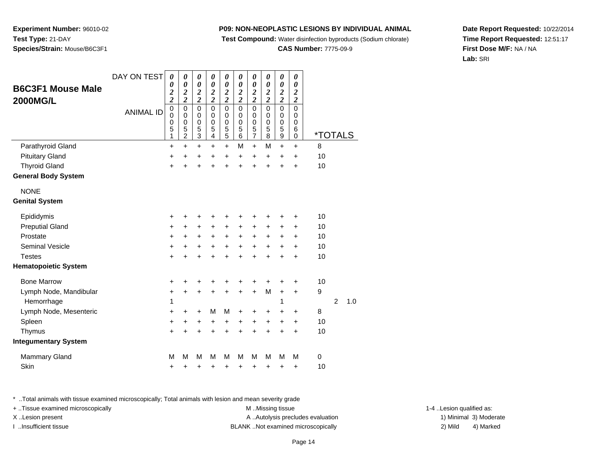**Test Compound:** Water disinfection byproducts (Sodium chlorate)

**CAS Number:** 7775-09-9

**Date Report Requested:** 10/22/2014**Time Report Requested:** 12:51:17**First Dose M/F:** NA / NA**Lab:** SRI

\* ..Total animals with tissue examined microscopically; Total animals with lesion and mean severity grade

+ ..Tissue examined microscopically examined microscopically examined as:  $M$  ..Missing tissue 1-4 ..Lesion qualified as: X..Lesion present **A ..Autolysis precludes evaluation** A ..Autolysis precludes evaluation 1) Minimal 3) Moderate I ..Insufficient tissue BLANK ..Not examined microscopically 2) Mild 4) Marked

| <b>B6C3F1 Mouse Male</b><br><b>2000MG/L</b> | DAY ON TEST<br><b>ANIMAL ID</b> | 0<br>0<br>$\overline{\mathbf{c}}$<br>$\overline{\mathbf{c}}$<br>$\mathbf 0$<br>0<br>0<br>5 | 0<br>0<br>$\overline{\mathbf{c}}$<br>$\overline{\mathbf{c}}$<br>$\mathbf 0$<br>0<br>$\mathbf 0$<br>5 | 0<br>0<br>$\boldsymbol{2}$<br>$\overline{c}$<br>0<br>0<br>$\mathbf 0$<br>5 | 0<br>$\boldsymbol{\theta}$<br>$\boldsymbol{2}$<br>$\overline{\mathbf{c}}$<br>$\Omega$<br>0<br>$\mathbf 0$<br>5 | 0<br>$\boldsymbol{\theta}$<br>$\overline{\mathbf{c}}$<br>$\overline{c}$<br>$\mathbf 0$<br>0<br>$\mathbf 0$<br>$\frac{5}{5}$ | 0<br>0<br>$\boldsymbol{2}$<br>$\overline{\mathbf{c}}$<br>$\mathbf 0$<br>$\mathbf 0$<br>$\mathbf 0$<br>5 | 0<br>0<br>$\overline{\mathbf{c}}$<br>$\overline{\mathbf{c}}$<br>0<br>0<br>0<br>5 | 0<br>$\boldsymbol{\theta}$<br>$\overline{\mathbf{c}}$<br>$\overline{c}$<br>$\mathbf 0$<br>$\Omega$<br>$\mathbf 0$<br>5 | 0<br>$\boldsymbol{\theta}$<br>$\boldsymbol{2}$<br>$\overline{\mathbf{c}}$<br>$\overline{0}$<br>$\mathbf 0$<br>$\mathbf 0$<br>5 | 0<br>$\boldsymbol{\theta}$<br>$\overline{c}$<br>$\overline{\mathbf{c}}$<br>$\mathbf 0$<br>0<br>$\mathbf 0$<br>6 |                     |                |     |
|---------------------------------------------|---------------------------------|--------------------------------------------------------------------------------------------|------------------------------------------------------------------------------------------------------|----------------------------------------------------------------------------|----------------------------------------------------------------------------------------------------------------|-----------------------------------------------------------------------------------------------------------------------------|---------------------------------------------------------------------------------------------------------|----------------------------------------------------------------------------------|------------------------------------------------------------------------------------------------------------------------|--------------------------------------------------------------------------------------------------------------------------------|-----------------------------------------------------------------------------------------------------------------|---------------------|----------------|-----|
| Parathyroid Gland                           |                                 | 1<br>$\ddot{}$                                                                             | $\overline{c}$<br>$\ddot{}$                                                                          | 3<br>$\ddot{}$                                                             | 4<br>$\ddot{}$                                                                                                 | $\ddot{}$                                                                                                                   | 6<br>M                                                                                                  | $\overline{7}$<br>$+$                                                            | 8<br>M                                                                                                                 | 9<br>$\ddot{}$                                                                                                                 | 0<br>$\ddot{}$                                                                                                  | <u>*TOTALS</u><br>8 |                |     |
| <b>Pituitary Gland</b>                      |                                 | +                                                                                          | +                                                                                                    | +                                                                          | +                                                                                                              | $\ddot{}$                                                                                                                   | $\ddot{}$                                                                                               | $\ddot{}$                                                                        | $\ddot{}$                                                                                                              | $\ddot{}$                                                                                                                      | $\ddot{}$                                                                                                       | 10                  |                |     |
| <b>Thyroid Gland</b>                        |                                 | $\ddot{}$                                                                                  | 4                                                                                                    | $\ddot{}$                                                                  | $\ddot{}$                                                                                                      | $\ddot{}$                                                                                                                   | $\ddot{}$                                                                                               | $\ddot{}$                                                                        | ÷                                                                                                                      | $\ddot{}$                                                                                                                      | $\ddot{}$                                                                                                       | 10                  |                |     |
| <b>General Body System</b>                  |                                 |                                                                                            |                                                                                                      |                                                                            |                                                                                                                |                                                                                                                             |                                                                                                         |                                                                                  |                                                                                                                        |                                                                                                                                |                                                                                                                 |                     |                |     |
| <b>NONE</b>                                 |                                 |                                                                                            |                                                                                                      |                                                                            |                                                                                                                |                                                                                                                             |                                                                                                         |                                                                                  |                                                                                                                        |                                                                                                                                |                                                                                                                 |                     |                |     |
| <b>Genital System</b>                       |                                 |                                                                                            |                                                                                                      |                                                                            |                                                                                                                |                                                                                                                             |                                                                                                         |                                                                                  |                                                                                                                        |                                                                                                                                |                                                                                                                 |                     |                |     |
| Epididymis                                  |                                 | +                                                                                          | +                                                                                                    | +                                                                          | +                                                                                                              | +                                                                                                                           | +                                                                                                       | +                                                                                | +                                                                                                                      | +                                                                                                                              | +                                                                                                               | 10                  |                |     |
| <b>Preputial Gland</b>                      |                                 | $\ddot{}$                                                                                  | $\ddot{}$                                                                                            | $\ddot{}$                                                                  | $\ddot{}$                                                                                                      | $\ddot{}$                                                                                                                   | $\ddot{}$                                                                                               | $\ddot{}$                                                                        | +                                                                                                                      | +                                                                                                                              | $\ddot{}$                                                                                                       | 10                  |                |     |
| Prostate                                    |                                 | $\ddot{}$                                                                                  | +                                                                                                    | +                                                                          | $\ddot{}$                                                                                                      | $\ddot{}$                                                                                                                   | $\pm$                                                                                                   | +                                                                                | +                                                                                                                      | +                                                                                                                              | +                                                                                                               | 10                  |                |     |
| <b>Seminal Vesicle</b>                      |                                 | +                                                                                          | +                                                                                                    | +                                                                          | $\ddot{}$                                                                                                      | +                                                                                                                           | $\pm$                                                                                                   | +                                                                                | +                                                                                                                      | +                                                                                                                              | +                                                                                                               | 10                  |                |     |
| <b>Testes</b>                               |                                 | $\ddot{}$                                                                                  | ÷                                                                                                    | $\ddot{}$                                                                  | $\ddot{}$                                                                                                      | $\ddot{}$                                                                                                                   | $\ddot{}$                                                                                               | $\ddot{}$                                                                        | $\ddot{}$                                                                                                              | $\ddot{}$                                                                                                                      | $\ddot{}$                                                                                                       | 10                  |                |     |
| <b>Hematopoietic System</b>                 |                                 |                                                                                            |                                                                                                      |                                                                            |                                                                                                                |                                                                                                                             |                                                                                                         |                                                                                  |                                                                                                                        |                                                                                                                                |                                                                                                                 |                     |                |     |
| <b>Bone Marrow</b>                          |                                 | +                                                                                          | +                                                                                                    | +                                                                          | +                                                                                                              |                                                                                                                             |                                                                                                         |                                                                                  |                                                                                                                        |                                                                                                                                | +                                                                                                               | 10                  |                |     |
| Lymph Node, Mandibular                      |                                 | $\ddot{}$                                                                                  | +                                                                                                    | $\ddot{}$                                                                  | $\ddot{}$                                                                                                      | $\ddot{}$                                                                                                                   | $\ddot{}$                                                                                               | $+$                                                                              | M                                                                                                                      | $\ddot{}$                                                                                                                      | $\ddot{}$                                                                                                       | 9                   |                |     |
| Hemorrhage                                  |                                 | 1                                                                                          |                                                                                                      |                                                                            |                                                                                                                |                                                                                                                             |                                                                                                         |                                                                                  |                                                                                                                        | 1                                                                                                                              |                                                                                                                 |                     | $\overline{2}$ | 1.0 |
| Lymph Node, Mesenteric                      |                                 | $\ddot{}$                                                                                  | +                                                                                                    | +                                                                          | м                                                                                                              | M                                                                                                                           | +                                                                                                       | +                                                                                | +                                                                                                                      | +                                                                                                                              | $\ddot{}$                                                                                                       | 8                   |                |     |
| Spleen                                      |                                 | $\ddot{}$                                                                                  | +                                                                                                    | +                                                                          | +                                                                                                              | +                                                                                                                           | +                                                                                                       | +                                                                                | $\ddot{}$                                                                                                              | $\ddot{}$                                                                                                                      | $\ddot{}$                                                                                                       | 10                  |                |     |
| Thymus                                      |                                 | $\ddot{}$                                                                                  | $\ddot{}$                                                                                            | $\ddot{}$                                                                  | $\ddot{}$                                                                                                      | $\ddot{}$                                                                                                                   | $\ddot{}$                                                                                               | $\ddot{}$                                                                        | $\ddot{}$                                                                                                              | $\ddot{}$                                                                                                                      | $\ddot{}$                                                                                                       | 10                  |                |     |
| <b>Integumentary System</b>                 |                                 |                                                                                            |                                                                                                      |                                                                            |                                                                                                                |                                                                                                                             |                                                                                                         |                                                                                  |                                                                                                                        |                                                                                                                                |                                                                                                                 |                     |                |     |
| <b>Mammary Gland</b>                        |                                 | M                                                                                          | M                                                                                                    | M                                                                          | M                                                                                                              | M                                                                                                                           | M                                                                                                       | M                                                                                | M                                                                                                                      | M                                                                                                                              | M                                                                                                               | 0                   |                |     |
| Skin                                        |                                 | +                                                                                          | +                                                                                                    | +                                                                          | +                                                                                                              | +                                                                                                                           | +                                                                                                       | +                                                                                | +                                                                                                                      | +                                                                                                                              | +                                                                                                               | 10                  |                |     |

### **Experiment Number:** 96010-02**Test Type:** 21-DAY**Species/Strain:** Mouse/B6C3F1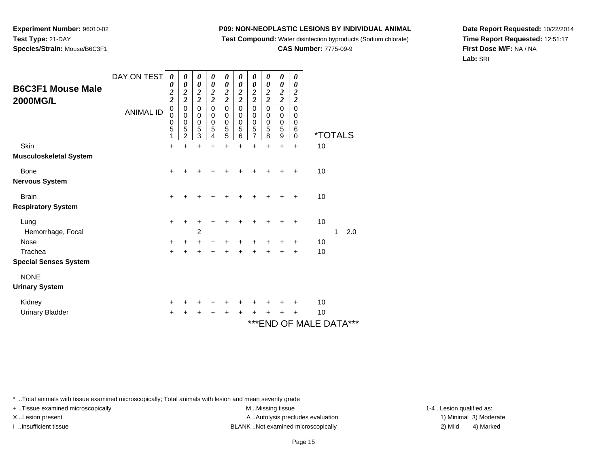**Test Compound:** Water disinfection byproducts (Sodium chlorate)

**CAS Number:** 7775-09-9

**Date Report Requested:** 10/22/2014**Time Report Requested:** 12:51:17**First Dose M/F:** NA / NA**Lab:** SRI

| <b>B6C3F1 Mouse Male</b><br><b>2000MG/L</b> | DAY ON TEST<br><b>ANIMAL ID</b> | 0<br>0<br>$\overline{\mathbf{c}}$<br>$\overline{2}$<br>$\pmb{0}$<br>$\mathbf 0$<br>0<br>5 | 0<br>$\boldsymbol{\theta}$<br>$\overline{c}$<br>$\overline{\mathbf{c}}$<br>$\mathbf 0$<br>$\mathbf 0$<br>0<br>5<br>$\overline{2}$ | 0<br>$\boldsymbol{\theta}$<br>$\overline{\mathbf{c}}$<br>$\overline{\mathbf{c}}$<br>$\mathbf 0$<br>$\mathbf 0$<br>$\mathbf 0$<br>5<br>3 | 0<br>$\boldsymbol{\theta}$<br>$\boldsymbol{2}$<br>$\overline{\mathbf{c}}$<br>$\mathbf 0$<br>$\mathbf 0$<br>$\mathbf 0$<br>5<br>4 | 0<br>0<br>$\overline{\mathbf{c}}$<br>$\overline{2}$<br>0<br>0<br>0<br>5<br>5 | 0<br>$\boldsymbol{\theta}$<br>$\overline{2}$<br>$\overline{2}$<br>$\mathbf 0$<br>$\mathbf 0$<br>$\mathbf 0$<br>5<br>6 | 0<br>0<br>$\overline{\mathbf{c}}$<br>$\overline{2}$<br>$\mathbf 0$<br>0<br>$\mathbf 0$<br>5<br>7 | 0<br>$\boldsymbol{\theta}$<br>$\overline{\mathbf{c}}$<br>$\overline{2}$<br>$\mathbf 0$<br>$\mathbf 0$<br>$\mathbf 0$<br>5<br>8 | 0<br>$\boldsymbol{\theta}$<br>$\boldsymbol{2}$<br>$\overline{c}$<br>$\mathbf 0$<br>$\mathbf 0$<br>$\mathbf 0$<br>5<br>9 | 0<br>0<br>$\boldsymbol{2}$<br>$\boldsymbol{2}$<br>0<br>0<br>0<br>6<br>0 | <i><b>*TOTALS</b></i>                          |   |     |  |
|---------------------------------------------|---------------------------------|-------------------------------------------------------------------------------------------|-----------------------------------------------------------------------------------------------------------------------------------|-----------------------------------------------------------------------------------------------------------------------------------------|----------------------------------------------------------------------------------------------------------------------------------|------------------------------------------------------------------------------|-----------------------------------------------------------------------------------------------------------------------|--------------------------------------------------------------------------------------------------|--------------------------------------------------------------------------------------------------------------------------------|-------------------------------------------------------------------------------------------------------------------------|-------------------------------------------------------------------------|------------------------------------------------|---|-----|--|
| Skin                                        |                                 | $\ddot{}$                                                                                 | $\div$                                                                                                                            | $\ddot{}$                                                                                                                               | $\div$                                                                                                                           | $\ddot{}$                                                                    | $\ddot{}$                                                                                                             | $\ddot{}$                                                                                        | $\ddot{}$                                                                                                                      | $\ddot{}$                                                                                                               | $\ddot{}$                                                               | 10                                             |   |     |  |
| Musculoskeletal System                      |                                 |                                                                                           |                                                                                                                                   |                                                                                                                                         |                                                                                                                                  |                                                                              |                                                                                                                       |                                                                                                  |                                                                                                                                |                                                                                                                         |                                                                         |                                                |   |     |  |
| Bone                                        |                                 | $\ddot{}$                                                                                 |                                                                                                                                   |                                                                                                                                         |                                                                                                                                  |                                                                              |                                                                                                                       | +                                                                                                | +                                                                                                                              |                                                                                                                         | ÷                                                                       | 10                                             |   |     |  |
| Nervous System                              |                                 |                                                                                           |                                                                                                                                   |                                                                                                                                         |                                                                                                                                  |                                                                              |                                                                                                                       |                                                                                                  |                                                                                                                                |                                                                                                                         |                                                                         |                                                |   |     |  |
| <b>Brain</b>                                |                                 | $\ddot{}$                                                                                 |                                                                                                                                   |                                                                                                                                         |                                                                                                                                  |                                                                              |                                                                                                                       |                                                                                                  | +                                                                                                                              |                                                                                                                         | ٠                                                                       | 10                                             |   |     |  |
| <b>Respiratory System</b>                   |                                 |                                                                                           |                                                                                                                                   |                                                                                                                                         |                                                                                                                                  |                                                                              |                                                                                                                       |                                                                                                  |                                                                                                                                |                                                                                                                         |                                                                         |                                                |   |     |  |
| Lung                                        |                                 | +                                                                                         |                                                                                                                                   |                                                                                                                                         |                                                                                                                                  |                                                                              |                                                                                                                       |                                                                                                  |                                                                                                                                |                                                                                                                         | +                                                                       | 10                                             |   |     |  |
| Hemorrhage, Focal                           |                                 |                                                                                           |                                                                                                                                   | $\overline{c}$                                                                                                                          |                                                                                                                                  |                                                                              |                                                                                                                       |                                                                                                  |                                                                                                                                |                                                                                                                         |                                                                         |                                                | 1 | 2.0 |  |
| Nose                                        |                                 | +                                                                                         |                                                                                                                                   |                                                                                                                                         |                                                                                                                                  |                                                                              |                                                                                                                       |                                                                                                  |                                                                                                                                |                                                                                                                         | +                                                                       | 10                                             |   |     |  |
| Trachea                                     |                                 | $\ddot{}$                                                                                 |                                                                                                                                   | +                                                                                                                                       | ÷                                                                                                                                | +                                                                            | +                                                                                                                     | +                                                                                                | +                                                                                                                              | +                                                                                                                       | +                                                                       | 10                                             |   |     |  |
| <b>Special Senses System</b>                |                                 |                                                                                           |                                                                                                                                   |                                                                                                                                         |                                                                                                                                  |                                                                              |                                                                                                                       |                                                                                                  |                                                                                                                                |                                                                                                                         |                                                                         |                                                |   |     |  |
| <b>NONE</b>                                 |                                 |                                                                                           |                                                                                                                                   |                                                                                                                                         |                                                                                                                                  |                                                                              |                                                                                                                       |                                                                                                  |                                                                                                                                |                                                                                                                         |                                                                         |                                                |   |     |  |
| <b>Urinary System</b>                       |                                 |                                                                                           |                                                                                                                                   |                                                                                                                                         |                                                                                                                                  |                                                                              |                                                                                                                       |                                                                                                  |                                                                                                                                |                                                                                                                         |                                                                         |                                                |   |     |  |
| Kidney                                      |                                 | +                                                                                         |                                                                                                                                   |                                                                                                                                         |                                                                                                                                  |                                                                              |                                                                                                                       |                                                                                                  |                                                                                                                                |                                                                                                                         |                                                                         | 10                                             |   |     |  |
| <b>Urinary Bladder</b>                      |                                 |                                                                                           |                                                                                                                                   |                                                                                                                                         |                                                                                                                                  |                                                                              |                                                                                                                       |                                                                                                  | +                                                                                                                              |                                                                                                                         | +                                                                       | 10                                             |   |     |  |
|                                             |                                 |                                                                                           |                                                                                                                                   |                                                                                                                                         |                                                                                                                                  |                                                                              |                                                                                                                       |                                                                                                  |                                                                                                                                |                                                                                                                         |                                                                         | $\lambda$ . $\Gamma$ $\Gamma$ $\lambda$ $\tau$ |   |     |  |

### $^{\circ}$ END OF MALE DATA $^{\circ}$

\* ..Total animals with tissue examined microscopically; Total animals with lesion and mean severity grade

**Experiment Number:** 96010-02

**Species/Strain:** Mouse/B6C3F1

**Test Type:** 21-DAY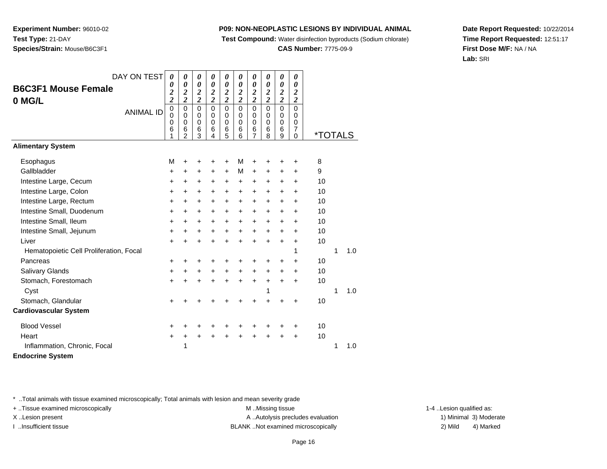**Test Compound:** Water disinfection byproducts (Sodium chlorate)

**CAS Number:** 7775-09-9

**Date Report Requested:** 10/22/2014**Time Report Requested:** 12:51:17**First Dose M/F:** NA / NA**Lab:** SRI

| DAY ON TEST                             | 0                                                       | 0                                          | 0                                                | 0                                                           | 0                                      | 0                                                           | 0                                                | 0                                       | 0                                      | 0                                       |                       |   |     |
|-----------------------------------------|---------------------------------------------------------|--------------------------------------------|--------------------------------------------------|-------------------------------------------------------------|----------------------------------------|-------------------------------------------------------------|--------------------------------------------------|-----------------------------------------|----------------------------------------|-----------------------------------------|-----------------------|---|-----|
| <b>B6C3F1 Mouse Female</b><br>0 MG/L    | 0<br>$\overline{\mathbf{c}}$<br>$\overline{\mathbf{c}}$ | 0<br>$\boldsymbol{2}$<br>$\overline{2}$    | 0<br>$\boldsymbol{2}$<br>$\overline{\mathbf{c}}$ | $\boldsymbol{\theta}$<br>$\boldsymbol{2}$<br>$\overline{c}$ | $\boldsymbol{\theta}$<br>$\frac{2}{2}$ | $\boldsymbol{\theta}$<br>$\boldsymbol{2}$<br>$\overline{2}$ | 0<br>$\boldsymbol{2}$<br>$\overline{\mathbf{c}}$ | 0<br>$\boldsymbol{2}$<br>$\overline{2}$ | $\boldsymbol{\theta}$<br>$\frac{2}{2}$ | 0<br>$\boldsymbol{2}$<br>$\overline{2}$ |                       |   |     |
| <b>ANIMAL ID</b>                        | $\mathbf 0$<br>0<br>0<br>6<br>1                         | $\pmb{0}$<br>0<br>0<br>6<br>$\overline{2}$ | $\mathbf 0$<br>0<br>0<br>6<br>3                  | $\mathbf 0$<br>0<br>0<br>6<br>4                             | $\mathbf 0$<br>0<br>0<br>6<br>5        | $\mathbf 0$<br>0<br>0<br>6<br>6                             | $\mathsf 0$<br>0<br>0<br>6<br>$\overline{7}$     | $\mathbf 0$<br>0<br>0<br>6<br>8         | $\pmb{0}$<br>0<br>0<br>6<br>9          | $\Omega$<br>$\Omega$<br>0<br>7<br>0     | <i><b>*TOTALS</b></i> |   |     |
| <b>Alimentary System</b>                |                                                         |                                            |                                                  |                                                             |                                        |                                                             |                                                  |                                         |                                        |                                         |                       |   |     |
| Esophagus                               | M                                                       | +                                          | +                                                | +                                                           | +                                      | M                                                           | +                                                |                                         |                                        |                                         | 8                     |   |     |
| Gallbladder                             | $\ddot{}$                                               | $\ddot{}$                                  | $\ddot{}$                                        | $\ddot{}$                                                   | $\ddot{}$                              | М                                                           | $\ddot{}$                                        | $\ddot{}$                               | $\ddot{}$                              | +                                       | 9                     |   |     |
| Intestine Large, Cecum                  | +                                                       | $\ddot{}$                                  | $\ddot{}$                                        | +                                                           | $\ddot{}$                              | $\ddot{}$                                                   | $\ddot{}$                                        | $\ddot{}$                               | +                                      | $\ddot{}$                               | 10                    |   |     |
| Intestine Large, Colon                  | +                                                       | $\pm$                                      | +                                                | $\ddot{}$                                                   | $\ddot{}$                              | $\ddot{}$                                                   | $\ddot{}$                                        | $\ddot{}$                               | +                                      | $\ddot{}$                               | 10                    |   |     |
| Intestine Large, Rectum                 | +                                                       | +                                          | +                                                | +                                                           | +                                      | $\ddot{}$                                                   | $\ddot{}$                                        | $\ddot{}$                               | +                                      | +                                       | 10                    |   |     |
| Intestine Small, Duodenum               | +                                                       | $\pm$                                      | +                                                | +                                                           | $\ddot{}$                              | $\ddot{}$                                                   | $\ddot{}$                                        | $\ddot{}$                               | +                                      | $\ddot{}$                               | 10                    |   |     |
| Intestine Small, Ileum                  | $\ddot{}$                                               | +                                          | +                                                | +                                                           | $\ddot{}$                              | $\ddot{}$                                                   | $\ddot{}$                                        | $\ddot{}$                               | $\ddot{}$                              | $\ddot{}$                               | 10                    |   |     |
| Intestine Small, Jejunum                | +                                                       | $\ddot{}$                                  | $\ddot{}$                                        | $\ddot{}$                                                   | $\ddot{}$                              | $\ddot{}$                                                   | $\ddot{}$                                        | $\ddot{}$                               | $\ddot{}$                              | $\ddot{}$                               | 10                    |   |     |
| Liver                                   | $\ddot{}$                                               | +                                          | $\ddot{}$                                        | $\ddot{}$                                                   | $\ddot{}$                              | $\ddot{}$                                                   | $\ddot{}$                                        | ÷                                       | $\ddot{}$                              | $\ddot{}$                               | 10                    |   |     |
| Hematopoietic Cell Proliferation, Focal |                                                         |                                            |                                                  |                                                             |                                        |                                                             |                                                  |                                         |                                        | 1                                       |                       | 1 | 1.0 |
| Pancreas                                | +                                                       | +                                          | +                                                | +                                                           | +                                      | +                                                           | +                                                | +                                       | +                                      | +                                       | 10                    |   |     |
| Salivary Glands                         | +                                                       | +                                          | +                                                | +                                                           | +                                      | +                                                           | +                                                | +                                       | +                                      | +                                       | 10                    |   |     |
| Stomach, Forestomach                    | +                                                       | +                                          | +                                                | $\ddot{}$                                                   | $\ddot{}$                              | $\ddot{}$                                                   | $\ddot{}$                                        | $\ddot{}$                               | $\ddot{}$                              | $\ddot{}$                               | 10                    |   |     |
| Cyst                                    |                                                         |                                            |                                                  |                                                             |                                        |                                                             |                                                  | 1                                       |                                        |                                         |                       | 1 | 1.0 |
| Stomach, Glandular                      | $\ddot{}$                                               |                                            |                                                  |                                                             | +                                      |                                                             | +                                                |                                         | +                                      | +                                       | 10                    |   |     |
| <b>Cardiovascular System</b>            |                                                         |                                            |                                                  |                                                             |                                        |                                                             |                                                  |                                         |                                        |                                         |                       |   |     |
| <b>Blood Vessel</b>                     | +                                                       | +                                          | +                                                | +                                                           | +                                      | +                                                           | +                                                |                                         | +                                      | +                                       | 10                    |   |     |
| Heart                                   | +                                                       | +                                          | +                                                | +                                                           | +                                      | $\ddot{}$                                                   | +                                                |                                         | +                                      | $\ddot{}$                               | 10                    |   |     |
| Inflammation, Chronic, Focal            |                                                         | 1                                          |                                                  |                                                             |                                        |                                                             |                                                  |                                         |                                        |                                         |                       | 1 | 1.0 |
| <b>Endocrine System</b>                 |                                                         |                                            |                                                  |                                                             |                                        |                                                             |                                                  |                                         |                                        |                                         |                       |   |     |

\* ..Total animals with tissue examined microscopically; Total animals with lesion and mean severity grade

**Experiment Number:** 96010-02

**Species/Strain:** Mouse/B6C3F1

**Test Type:** 21-DAY

+ ..Tissue examined microscopically examined microscopically examined as:  $M$  ..Missing tissue 1-4 ..Lesion qualified as: X..Lesion present **A ..Autolysis precludes evaluation** A ..Autolysis precludes evaluation 1) Minimal 3) Moderate I ..Insufficient tissue 2) Mild and the SLANK ..Not examined microscopically and the SLANK ... Insufficient tissue

4) Marked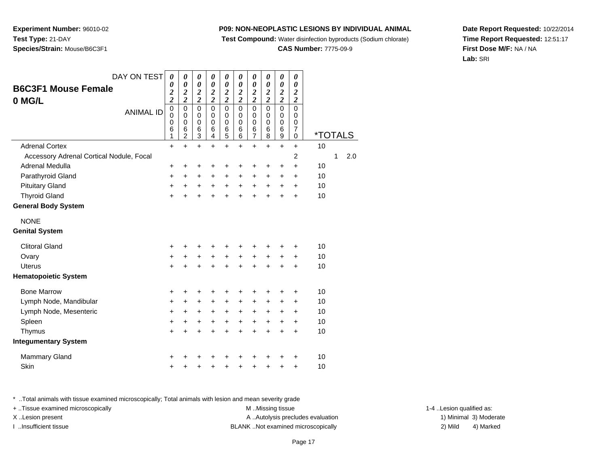**Test Compound:** Water disinfection byproducts (Sodium chlorate)

**CAS Number:** 7775-09-9

**Date Report Requested:** 10/22/2014**Time Report Requested:** 12:51:17**First Dose M/F:** NA / NA**Lab:** SRI

Page 17

\* ..Total animals with tissue examined microscopically; Total animals with lesion and mean severity grade

n  $+$ 

+ ..Tissue examined microscopically examined microscopically examined as:  $M$  ..Missing tissue 1-4 ..Lesion qualified as: X..Lesion present **A ..Autolysis precludes evaluation** A ..Autolysis precludes evaluation 1) Minimal 3) Moderate I ..Insufficient tissue BLANK ..Not examined microscopically 2) Mild 4) Marked

| DAY ON TEST                              | 0                                                | 0                                                           | 0                                                                    | 0                                                                    | 0                                                                    | 0                                                                    | 0                                                                    | 0                                                           | 0                                                            | 0                                                                    |                       |   |     |
|------------------------------------------|--------------------------------------------------|-------------------------------------------------------------|----------------------------------------------------------------------|----------------------------------------------------------------------|----------------------------------------------------------------------|----------------------------------------------------------------------|----------------------------------------------------------------------|-------------------------------------------------------------|--------------------------------------------------------------|----------------------------------------------------------------------|-----------------------|---|-----|
| <b>B6C3F1 Mouse Female</b><br>0 MG/L     | 0<br>$\boldsymbol{2}$<br>$\overline{\mathbf{c}}$ | $\boldsymbol{\theta}$<br>$\boldsymbol{2}$<br>$\overline{c}$ | $\boldsymbol{\theta}$<br>$\boldsymbol{2}$<br>$\overline{\mathbf{c}}$ | $\boldsymbol{\theta}$<br>$\boldsymbol{2}$<br>$\overline{\mathbf{c}}$ | $\boldsymbol{\theta}$<br>$\boldsymbol{2}$<br>$\overline{\mathbf{c}}$ | $\boldsymbol{\theta}$<br>$\boldsymbol{2}$<br>$\overline{\mathbf{c}}$ | $\boldsymbol{\theta}$<br>$\boldsymbol{2}$<br>$\overline{\mathbf{c}}$ | $\boldsymbol{\theta}$<br>$\boldsymbol{2}$<br>$\overline{c}$ | $\boldsymbol{\theta}$<br>$\frac{2}{2}$                       | $\boldsymbol{\theta}$<br>$\boldsymbol{2}$<br>$\overline{\mathbf{c}}$ |                       |   |     |
| <b>ANIMAL ID</b>                         | $\mathbf 0$<br>0<br>0<br>6<br>1                  | $\mathbf 0$<br>0<br>0<br>6<br>2                             | $\mathbf 0$<br>0<br>$\mathbf 0$<br>$\,6$<br>3                        | $\Omega$<br>0<br>0<br>$\,6$<br>4                                     | $\mathbf 0$<br>0<br>$\mathbf 0$<br>$\,6$<br>5                        | $\Omega$<br>0<br>$\mathbf 0$<br>6<br>6                               | $\mathbf 0$<br>0<br>0<br>$\,6$<br>$\overline{7}$                     | $\Omega$<br>0<br>0<br>6<br>8                                | $\mathbf 0$<br>0<br>$\mathbf 0$<br>$\,6$<br>$\boldsymbol{9}$ | $\Omega$<br>0<br>$\mathbf 0$<br>7<br>$\mathbf 0$                     | <i><b>*TOTALS</b></i> |   |     |
| <b>Adrenal Cortex</b>                    | +                                                | $\ddot{}$                                                   | $\ddot{}$                                                            | $\ddot{}$                                                            | $\ddot{}$                                                            | $\ddot{}$                                                            | $\ddot{}$                                                            | $\ddot{}$                                                   | $\ddot{}$                                                    | $\ddot{}$                                                            | 10                    |   |     |
| Accessory Adrenal Cortical Nodule, Focal |                                                  |                                                             |                                                                      |                                                                      |                                                                      |                                                                      |                                                                      |                                                             |                                                              | 2                                                                    |                       | 1 | 2.0 |
| Adrenal Medulla                          | +                                                | +                                                           | +                                                                    | +                                                                    | +                                                                    | +                                                                    | +                                                                    | +                                                           | +                                                            | $\ddot{}$                                                            | 10                    |   |     |
| Parathyroid Gland                        | $\ddot{}$                                        | $\ddot{}$                                                   | $\ddot{}$                                                            | +                                                                    | $\ddot{}$                                                            | +                                                                    | +                                                                    | +                                                           | +                                                            | $\ddot{}$                                                            | 10                    |   |     |
| <b>Pituitary Gland</b>                   | $\ddot{}$                                        | $\ddot{}$                                                   | $\ddot{}$                                                            | $\ddot{}$                                                            | $\ddot{}$                                                            | $\ddot{}$                                                            | $\ddot{}$                                                            | $\ddot{}$                                                   | +                                                            | $\ddot{}$                                                            | 10                    |   |     |
| <b>Thyroid Gland</b>                     | $\ddot{}$                                        |                                                             | $\ddot{}$                                                            |                                                                      | $\ddot{}$                                                            |                                                                      | $\ddot{}$                                                            |                                                             | $\ddot{}$                                                    | $\ddot{}$                                                            | 10                    |   |     |
| <b>General Body System</b>               |                                                  |                                                             |                                                                      |                                                                      |                                                                      |                                                                      |                                                                      |                                                             |                                                              |                                                                      |                       |   |     |
| <b>NONE</b>                              |                                                  |                                                             |                                                                      |                                                                      |                                                                      |                                                                      |                                                                      |                                                             |                                                              |                                                                      |                       |   |     |
| <b>Genital System</b>                    |                                                  |                                                             |                                                                      |                                                                      |                                                                      |                                                                      |                                                                      |                                                             |                                                              |                                                                      |                       |   |     |
| <b>Clitoral Gland</b>                    | +                                                |                                                             |                                                                      |                                                                      |                                                                      |                                                                      |                                                                      |                                                             |                                                              |                                                                      | 10                    |   |     |
| Ovary                                    | +                                                | +                                                           | $\ddot{}$                                                            | $\ddot{}$                                                            | $\ddot{}$                                                            | $\ddot{}$                                                            | $\ddot{}$                                                            | $\ddot{}$                                                   | $\ddot{}$                                                    | $\ddot{}$                                                            | 10                    |   |     |
| <b>Uterus</b>                            | $\ddot{}$                                        |                                                             | $\ddot{}$                                                            |                                                                      |                                                                      |                                                                      |                                                                      |                                                             | $\ddot{}$                                                    | $\ddot{}$                                                            | 10                    |   |     |
| <b>Hematopoietic System</b>              |                                                  |                                                             |                                                                      |                                                                      |                                                                      |                                                                      |                                                                      |                                                             |                                                              |                                                                      |                       |   |     |
| <b>Bone Marrow</b>                       | +                                                | +                                                           | +                                                                    | +                                                                    | +                                                                    | ٠                                                                    | +                                                                    | +                                                           | +                                                            | +                                                                    | 10                    |   |     |
| Lymph Node, Mandibular                   | $\ddot{}$                                        | +                                                           | +                                                                    | ÷                                                                    | +                                                                    | ÷                                                                    | +                                                                    | ٠                                                           | ٠                                                            | +                                                                    | 10                    |   |     |
| Lymph Node, Mesenteric                   | +                                                | $\ddot{}$                                                   | +                                                                    | $\ddot{}$                                                            | $\ddot{}$                                                            | +                                                                    | $\ddot{}$                                                            | $\ddot{}$                                                   | +                                                            | $\ddot{}$                                                            | 10                    |   |     |
| Spleen                                   | $\ddot{}$                                        | $\ddot{}$                                                   | $\ddot{}$                                                            | $\ddot{}$                                                            | $\ddot{}$                                                            | $\ddot{}$                                                            | $\ddot{}$                                                            | $\ddot{}$                                                   | $\ddot{}$                                                    | $\ddot{}$                                                            | 10                    |   |     |
| Thymus                                   | $\ddot{}$                                        |                                                             | $\ddot{}$                                                            |                                                                      | $\ddot{}$                                                            |                                                                      | $\ddot{}$                                                            | $\ddot{}$                                                   | $\ddot{}$                                                    | $\ddot{}$                                                            | 10                    |   |     |
| <b>Integumentary System</b>              |                                                  |                                                             |                                                                      |                                                                      |                                                                      |                                                                      |                                                                      |                                                             |                                                              |                                                                      |                       |   |     |
| <b>Mammary Gland</b>                     | +                                                |                                                             |                                                                      |                                                                      |                                                                      |                                                                      |                                                                      |                                                             |                                                              |                                                                      | 10                    |   |     |
| <b>Skin</b>                              |                                                  |                                                             |                                                                      |                                                                      |                                                                      |                                                                      |                                                                      |                                                             | ٠                                                            | +                                                                    | 10                    |   |     |

**Experiment Number:** 96010-02**Test Type:** 21-DAY**Species/Strain:** Mouse/B6C3F1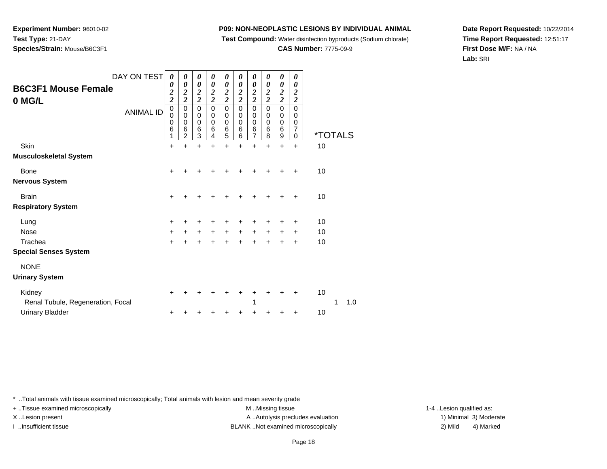**Test Compound:** Water disinfection byproducts (Sodium chlorate)

**CAS Number:** 7775-09-9

**Date Report Requested:** 10/22/2014**Time Report Requested:** 12:51:17**First Dose M/F:** NA / NA**Lab:** SRI

| DAY ON TEST<br><b>B6C3F1 Mouse Female</b><br>0 MG/L            | 0<br>0<br>$\overline{\mathbf{c}}$<br>$\overline{\mathbf{c}}$ | 0<br>0<br>$\overline{\mathbf{c}}$<br>$\overline{\mathbf{c}}$ | 0<br>0<br>$\frac{2}{2}$ | 0<br>0<br>$\boldsymbol{2}$<br>$\overline{2}$ | 0<br>0<br>$\boldsymbol{2}$<br>$\overline{\mathbf{c}}$   | 0<br>0<br>$\boldsymbol{2}$<br>$\overline{\mathbf{c}}$ | 0<br>0<br>$\overline{\mathbf{c}}$<br>$\overline{\mathbf{c}}$ | 0<br>0<br>$\boldsymbol{2}$<br>$\overline{2}$ | 0<br>0<br>$\boldsymbol{2}$<br>$\overline{2}$            | 0<br>0<br>2<br>$\overline{c}$ |                       |     |
|----------------------------------------------------------------|--------------------------------------------------------------|--------------------------------------------------------------|-------------------------|----------------------------------------------|---------------------------------------------------------|-------------------------------------------------------|--------------------------------------------------------------|----------------------------------------------|---------------------------------------------------------|-------------------------------|-----------------------|-----|
| <b>ANIMAL ID</b>                                               | $\mathbf 0$<br>0<br>0<br>6<br>1                              | 0<br>0<br>0<br>6<br>$\overline{c}$                           | 0<br>0<br>0<br>6<br>3   | $\mathbf 0$<br>0<br>0<br>6<br>4              | $\mathbf 0$<br>0<br>$\mathbf 0$<br>$6\phantom{1}6$<br>5 | 0<br>0<br>0<br>6<br>6                                 | 0<br>0<br>0<br>6<br>7                                        | 0<br>0<br>$\mathbf 0$<br>$\,6$<br>8          | $\mathbf 0$<br>0<br>$\mathbf 0$<br>$6\phantom{1}6$<br>9 | $\Omega$<br>0<br>0<br>7<br>0  | <i><b>*TOTALS</b></i> |     |
| Skin<br>Musculoskeletal System                                 | +                                                            | +                                                            | $\ddot{}$               | +                                            | $\ddot{}$                                               | $\ddot{}$                                             | $\ddot{}$                                                    | $\ddot{}$                                    | $\ddot{}$                                               | $\ddot{}$                     | 10                    |     |
| Bone<br>Nervous System                                         | +                                                            |                                                              |                         |                                              |                                                         |                                                       |                                                              |                                              | +                                                       | ٠                             | 10                    |     |
| <b>Brain</b><br><b>Respiratory System</b>                      | +                                                            | +                                                            | +                       |                                              |                                                         |                                                       |                                                              |                                              | +                                                       | ٠                             | 10                    |     |
| Lung<br><b>Nose</b><br>Trachea<br><b>Special Senses System</b> | +<br>$\ddot{}$<br>$\ddot{}$                                  | +<br>$\ddot{}$<br>$\pm$                                      | +<br>$\ddot{}$<br>+     | +<br>$\ddot{}$<br>+                          | ٠<br>$\ddot{}$<br>$\ddot{}$                             | +<br>$\ddot{}$<br>$\pm$                               | +<br>$\ddot{}$<br>$\pm$                                      | ٠<br>$\ddot{}$<br>+                          | ÷<br>$\ddot{}$<br>$\ddot{}$                             | +<br>$\ddot{}$<br>+           | 10<br>10<br>10        |     |
| <b>NONE</b><br><b>Urinary System</b>                           |                                                              |                                                              |                         |                                              |                                                         |                                                       |                                                              |                                              |                                                         |                               |                       |     |
| Kidney<br>Renal Tubule, Regeneration, Focal                    | +                                                            |                                                              |                         |                                              |                                                         |                                                       | 1                                                            |                                              | +                                                       | +                             | 10<br>1               | 1.0 |
| <b>Urinary Bladder</b>                                         | $\ddot{}$                                                    | +                                                            |                         |                                              | +                                                       | +                                                     | +                                                            | +                                            | +                                                       | +                             | 10                    |     |

\* ..Total animals with tissue examined microscopically; Total animals with lesion and mean severity grade

 $\mathsf{r}$  +

**Experiment Number:** 96010-02

**Species/Strain:** Mouse/B6C3F1

**Test Type:** 21-DAY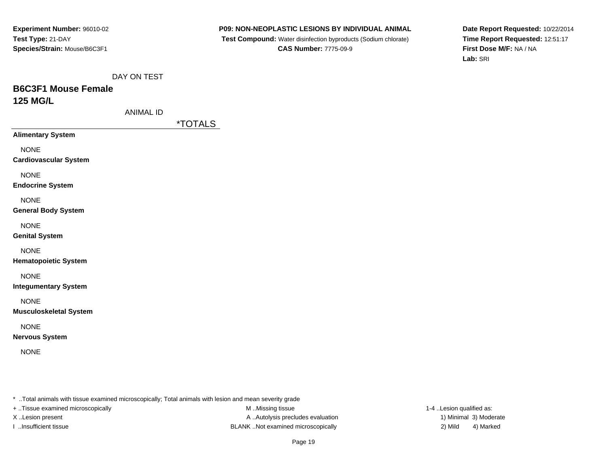**P09: NON-NEOPLASTIC LESIONS BY INDIVIDUAL ANIMAL**

 **Test Compound:** Water disinfection byproducts (Sodium chlorate)**CAS Number:** 7775-09-9

**Date Report Requested:** 10/22/2014**Time Report Requested:** 12:51:17**First Dose M/F:** NA / NA**Lab:** SRI

DAY ON TEST

# **B6C3F1 Mouse Female125 MG/L**

ANIMAL ID

\*TOTALS

**Alimentary System**

NONE

**Cardiovascular System**

NONE

**Endocrine System**

**NONE** 

#### **General Body System**

NONE

**Genital System**

### NONE

**Hematopoietic System**

### NONE

**Integumentary System**

NONE

**Musculoskeletal System**

### NONE

**Nervous System**

NONE

\* ..Total animals with tissue examined microscopically; Total animals with lesion and mean severity grade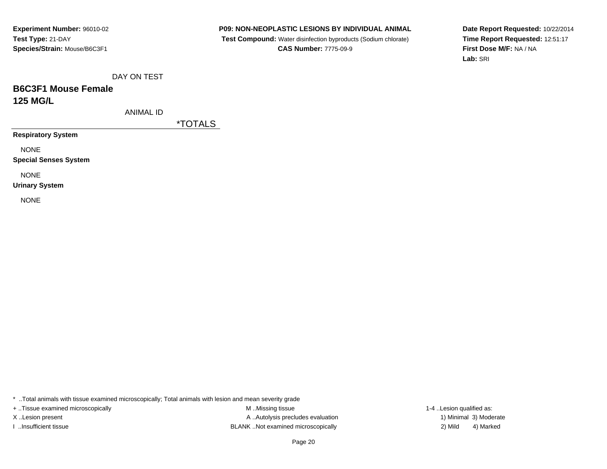**P09: NON-NEOPLASTIC LESIONS BY INDIVIDUAL ANIMAL**

 **Test Compound:** Water disinfection byproducts (Sodium chlorate)**CAS Number:** 7775-09-9

**Date Report Requested:** 10/22/2014**Time Report Requested:** 12:51:17**First Dose M/F:** NA / NA**Lab:** SRI

DAY ON TEST

# **B6C3F1 Mouse Female125 MG/L**

ANIMAL ID

\*TOTALS

**Respiratory System**

NONE

**Special Senses System**

NONE

**Urinary System**

NONE

\* ..Total animals with tissue examined microscopically; Total animals with lesion and mean severity grade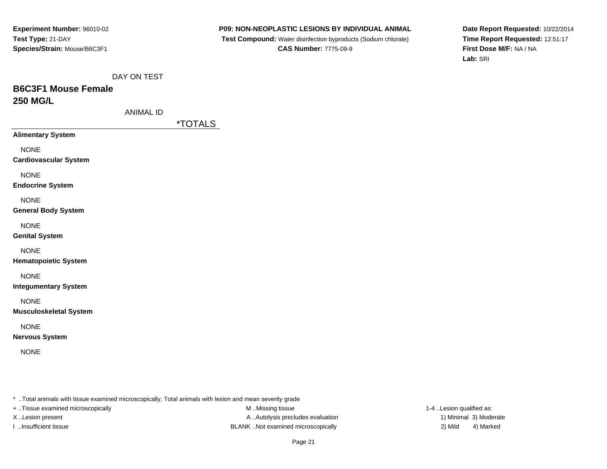**P09: NON-NEOPLASTIC LESIONS BY INDIVIDUAL ANIMAL**

 **Test Compound:** Water disinfection byproducts (Sodium chlorate)**CAS Number:** 7775-09-9

**Date Report Requested:** 10/22/2014**Time Report Requested:** 12:51:17**First Dose M/F:** NA / NA**Lab:** SRI

DAY ON TEST

# **B6C3F1 Mouse Female250 MG/L**

| ANIMAL ID |  |
|-----------|--|
|-----------|--|

\*TOTALS

**Alimentary System**

NONE

**Cardiovascular System**

NONE

**Endocrine System**

**NONE** 

#### **General Body System**

NONE

**Genital System**

NONE

**Hematopoietic System**

NONE

**Integumentary System**

NONE

**Musculoskeletal System**

NONE

**Nervous System**

NONE

\* ..Total animals with tissue examined microscopically; Total animals with lesion and mean severity grade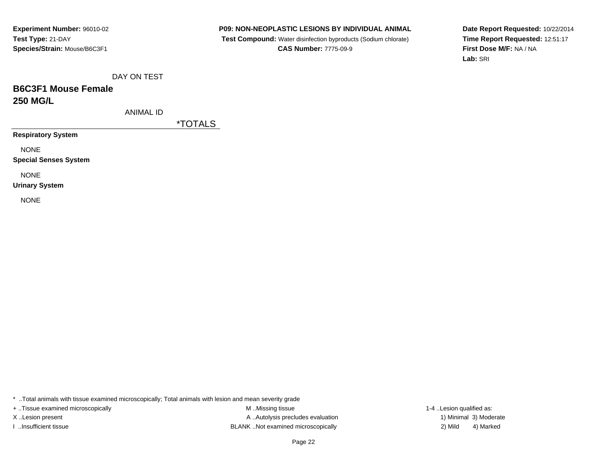**P09: NON-NEOPLASTIC LESIONS BY INDIVIDUAL ANIMAL**

 **Test Compound:** Water disinfection byproducts (Sodium chlorate)**CAS Number:** 7775-09-9

**Date Report Requested:** 10/22/2014**Time Report Requested:** 12:51:17**First Dose M/F:** NA / NA**Lab:** SRI

DAY ON TEST

# **B6C3F1 Mouse Female250 MG/L**

ANIMAL ID

\*TOTALS

**Respiratory System**

NONE

**Special Senses System**

NONE

**Urinary System**

NONE

\* ..Total animals with tissue examined microscopically; Total animals with lesion and mean severity grade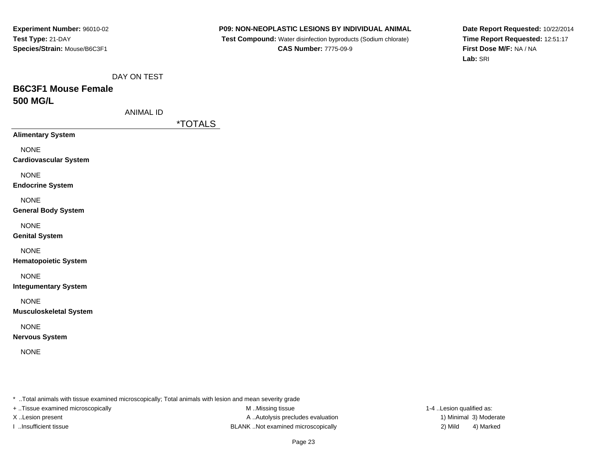**P09: NON-NEOPLASTIC LESIONS BY INDIVIDUAL ANIMAL**

 **Test Compound:** Water disinfection byproducts (Sodium chlorate)**CAS Number:** 7775-09-9

**Date Report Requested:** 10/22/2014**Time Report Requested:** 12:51:17**First Dose M/F:** NA / NA**Lab:** SRI

DAY ON TEST

# **B6C3F1 Mouse Female500 MG/L**

| ANIMAL ID |
|-----------|
|-----------|

\*TOTALS

**Alimentary System**

NONE

**Cardiovascular System**

NONE

**Endocrine System**

**NONE** 

#### **General Body System**

NONE

**Genital System**

#### NONE

**Hematopoietic System**

### NONE

**Integumentary System**

NONE

**Musculoskeletal System**

### NONE

**Nervous System**

NONE

\* ..Total animals with tissue examined microscopically; Total animals with lesion and mean severity grade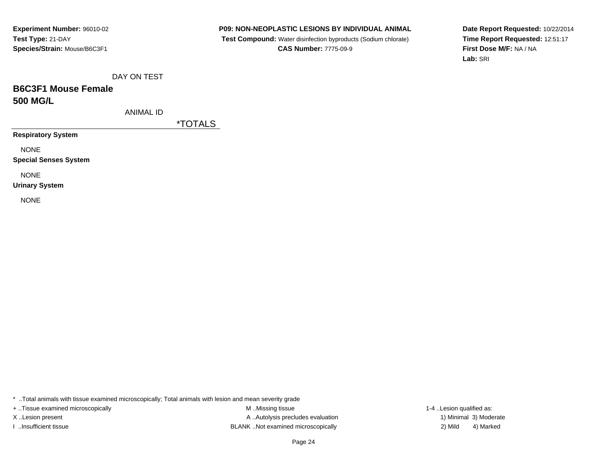**P09: NON-NEOPLASTIC LESIONS BY INDIVIDUAL ANIMAL**

 **Test Compound:** Water disinfection byproducts (Sodium chlorate)**CAS Number:** 7775-09-9

**Date Report Requested:** 10/22/2014**Time Report Requested:** 12:51:17**First Dose M/F:** NA / NA**Lab:** SRI

DAY ON TEST

# **B6C3F1 Mouse Female500 MG/L**

ANIMAL ID

\*TOTALS

**Respiratory System**

NONE

**Special Senses System**

NONE

**Urinary System**

NONE

\* ..Total animals with tissue examined microscopically; Total animals with lesion and mean severity grade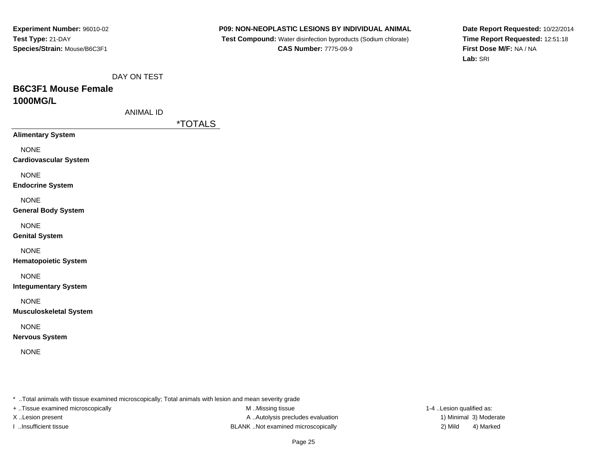**P09: NON-NEOPLASTIC LESIONS BY INDIVIDUAL ANIMAL**

 **Test Compound:** Water disinfection byproducts (Sodium chlorate)**CAS Number:** 7775-09-9

**Date Report Requested:** 10/22/2014**Time Report Requested:** 12:51:18**First Dose M/F:** NA / NA**Lab:** SRI

DAY ON TEST

# **B6C3F1 Mouse Female1000MG/L**

| ANIMAL ID |  |
|-----------|--|
|-----------|--|

\*TOTALS

**Alimentary System**

NONE

**Cardiovascular System**

NONE

**Endocrine System**

**NONE** 

#### **General Body System**

NONE

**Genital System**

NONE

**Hematopoietic System**

NONE

**Integumentary System**

NONE

**Musculoskeletal System**

NONE

**Nervous System**

NONE

\* ..Total animals with tissue examined microscopically; Total animals with lesion and mean severity grade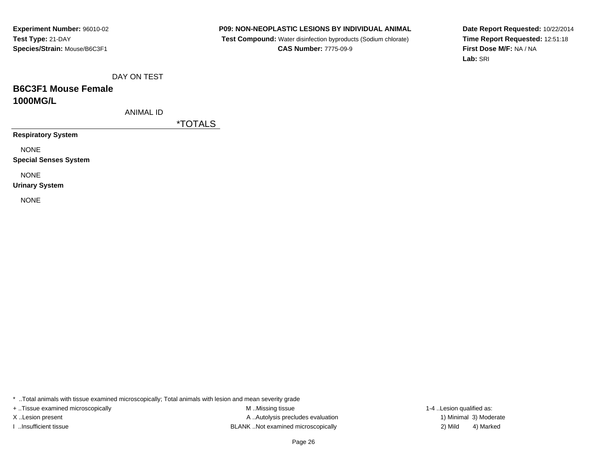**P09: NON-NEOPLASTIC LESIONS BY INDIVIDUAL ANIMAL**

 **Test Compound:** Water disinfection byproducts (Sodium chlorate)**CAS Number:** 7775-09-9

**Date Report Requested:** 10/22/2014**Time Report Requested:** 12:51:18**First Dose M/F:** NA / NA**Lab:** SRI

DAY ON TEST

# **B6C3F1 Mouse Female1000MG/L**

ANIMAL ID

\*TOTALS

**Respiratory System**

NONE

**Special Senses System**

NONE

**Urinary System**

NONE

\* ..Total animals with tissue examined microscopically; Total animals with lesion and mean severity grade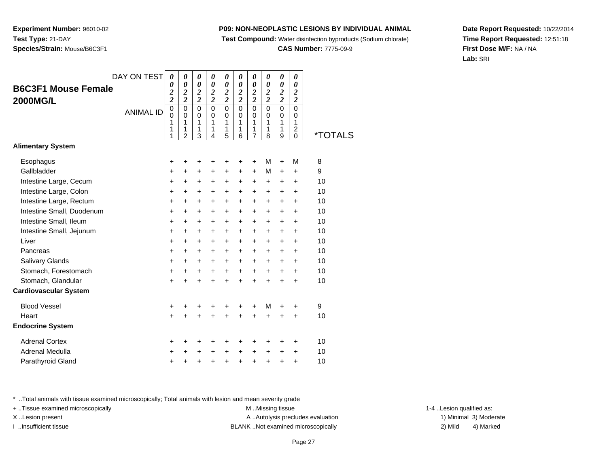**Test Compound:** Water disinfection byproducts (Sodium chlorate)

**CAS Number:** 7775-09-9

**Date Report Requested:** 10/22/2014**Time Report Requested:** 12:51:18**First Dose M/F:** NA / NA**Lab:** SRI

\* ..Total animals with tissue examined microscopically; Total animals with lesion and mean severity grade

+ ..Tissue examined microscopically examined microscopically examined as:  $M$  ..Missing tissue 1-4 ..Lesion qualified as:

| enar ivieuulla | ÷       | — <del>т</del> |  |
|----------------|---------|----------------|--|
| athyroid Gland | $+$ $+$ |                |  |
|                |         |                |  |

|  | DAY C |
|--|-------|

**Experiment Number:** 96010-02

**Species/Strain:** Mouse/B6C3F1

**Test Type:** 21-DAY

|                              | DAY ON TEST      | 0                                                  | 0                                           | 0                                  | 0                                  | 0                                  | 0                                           | 0                                           | 0                                           | 0                                           | 0                                  |         |
|------------------------------|------------------|----------------------------------------------------|---------------------------------------------|------------------------------------|------------------------------------|------------------------------------|---------------------------------------------|---------------------------------------------|---------------------------------------------|---------------------------------------------|------------------------------------|---------|
| <b>B6C3F1 Mouse Female</b>   |                  | 0                                                  | 0                                           | 0                                  | $\theta$                           | 0                                  | $\theta$                                    | $\theta$                                    | $\theta$                                    | 0                                           | $\boldsymbol{\theta}$              |         |
| <b>2000MG/L</b>              |                  | $\overline{\mathbf{c}}$<br>$\overline{\mathbf{c}}$ | $\boldsymbol{2}$<br>$\overline{\mathbf{c}}$ | $\boldsymbol{2}$<br>$\overline{c}$ | $\boldsymbol{2}$<br>$\overline{c}$ | $\boldsymbol{2}$<br>$\overline{c}$ | $\boldsymbol{2}$<br>$\overline{\mathbf{c}}$ | $\boldsymbol{2}$<br>$\overline{\mathbf{c}}$ | $\boldsymbol{2}$<br>$\overline{\mathbf{c}}$ | $\boldsymbol{2}$<br>$\overline{\mathbf{c}}$ | $\boldsymbol{2}$<br>$\overline{2}$ |         |
|                              | <b>ANIMAL ID</b> | $\mathbf 0$<br>$\mathbf 0$<br>1                    | $\mathbf 0$<br>0<br>1                       | 0<br>0<br>1                        | 0<br>0<br>1                        | $\mathbf 0$<br>0<br>1              | $\mathbf 0$<br>0<br>1                       | $\mathbf 0$<br>0<br>1                       | $\mathbf 0$<br>0<br>1                       | $\mathbf 0$<br>0<br>1                       | $\mathbf 0$<br>0<br>1              |         |
|                              |                  | 1<br>1                                             | 1<br>$\overline{2}$                         | 1<br>3                             | 1<br>4                             | 1<br>5                             | 1<br>6                                      | 1<br>$\overline{7}$                         | 1<br>8                                      | 1<br>9                                      | $\overline{c}$<br>$\Omega$         | *TOTALS |
| <b>Alimentary System</b>     |                  |                                                    |                                             |                                    |                                    |                                    |                                             |                                             |                                             |                                             |                                    |         |
| Esophagus                    |                  | +                                                  | +                                           | +                                  | +                                  | +                                  | +                                           | +                                           | M                                           | +                                           | M                                  | 8       |
| Gallbladder                  |                  | +                                                  | +                                           | +                                  | +                                  | +                                  | +                                           | +                                           | М                                           | +                                           | +                                  | 9       |
| Intestine Large, Cecum       |                  | $\ddot{}$                                          | $\ddot{}$                                   | $\ddot{}$                          | +                                  | +                                  | +                                           | +                                           | +                                           | +                                           | +                                  | 10      |
| Intestine Large, Colon       |                  | +                                                  | +                                           | +                                  | +                                  | +                                  | +                                           | +                                           | +                                           | +                                           | +                                  | 10      |
| Intestine Large, Rectum      |                  | $\ddot{}$                                          | $\ddot{}$                                   | $\ddot{}$                          | $\ddot{}$                          | $\ddot{}$                          | $\ddot{}$                                   | $\ddot{}$                                   | $\ddot{}$                                   | $\ddot{}$                                   | $\ddot{}$                          | 10      |
| Intestine Small, Duodenum    |                  | +                                                  | +                                           | +                                  | +                                  | +                                  | +                                           | +                                           | +                                           | +                                           | +                                  | 10      |
| Intestine Small, Ileum       |                  | $\ddot{}$                                          | $\ddot{}$                                   | +                                  | $\ddot{}$                          | $\ddot{}$                          | $\ddot{}$                                   | $\ddot{}$                                   | $\ddot{}$                                   | $\ddot{}$                                   | $\ddot{}$                          | 10      |
| Intestine Small, Jejunum     |                  | $\ddot{}$                                          | +                                           | +                                  | +                                  | +                                  | +                                           | +                                           | +                                           | +                                           | +                                  | 10      |
| Liver                        |                  | +                                                  | +                                           | +                                  | +                                  | +                                  | +                                           | +                                           | +                                           | $\ddot{}$                                   | $\ddot{}$                          | 10      |
| Pancreas                     |                  | $\ddot{}$                                          | $\ddot{}$                                   | +                                  | $\ddot{}$                          | +                                  | $\ddot{}$                                   | $\ddot{}$                                   | $\ddot{}$                                   | +                                           | $\ddot{}$                          | 10      |
| Salivary Glands              |                  | $\ddot{}$                                          | $\ddot{}$                                   | +                                  | +                                  | +                                  | +                                           | +                                           | +                                           | +                                           | +                                  | 10      |
| Stomach, Forestomach         |                  | $\ddot{}$                                          | $\ddot{}$                                   | +                                  | +                                  | +                                  | +                                           | +                                           | $\ddot{}$                                   | +                                           | +                                  | 10      |
| Stomach, Glandular           |                  | $\ddot{}$                                          |                                             | $\ddot{}$                          | $\ddot{}$                          | $\ddot{}$                          | $\ddot{}$                                   | $\ddot{}$                                   | $\ddot{}$                                   | $\ddot{}$                                   | $\ddot{}$                          | 10      |
| <b>Cardiovascular System</b> |                  |                                                    |                                             |                                    |                                    |                                    |                                             |                                             |                                             |                                             |                                    |         |
| <b>Blood Vessel</b>          |                  | +                                                  | +                                           | +                                  | +                                  | +                                  | +                                           | +                                           | м                                           | +                                           | +                                  | 9       |
| Heart                        |                  | $\ddot{}$                                          | ÷                                           | $\ddot{}$                          | $\ddot{}$                          | $\ddot{}$                          | $\ddot{}$                                   | $\ddot{}$                                   | $\ddot{}$                                   | $\ddot{}$                                   | $\ddot{}$                          | 10      |
| <b>Endocrine System</b>      |                  |                                                    |                                             |                                    |                                    |                                    |                                             |                                             |                                             |                                             |                                    |         |
| <b>Adrenal Cortex</b>        |                  | +                                                  | +                                           | +                                  | +                                  | +                                  | +                                           | +                                           | +                                           | +                                           | +                                  | 10      |
| <b>Adrenal Medulla</b>       |                  | +                                                  | +                                           | +                                  | +                                  | +                                  | $\pm$                                       | +                                           | $\pm$                                       | +                                           | +                                  | 10      |
| Parathyroid Gland            |                  | +                                                  | +                                           | +                                  | +                                  | +                                  | $\ddot{}$                                   | +                                           | +                                           | +                                           | $\ddot{}$                          | 10      |
|                              |                  |                                                    |                                             |                                    |                                    |                                    |                                             |                                             |                                             |                                             |                                    |         |

X..Lesion present **A ..Autolysis precludes evaluation** A ..Autolysis precludes evaluation 1) Minimal 3) Moderate I ..Insufficient tissue BLANK ..Not examined microscopically 2) Mild 4) Marked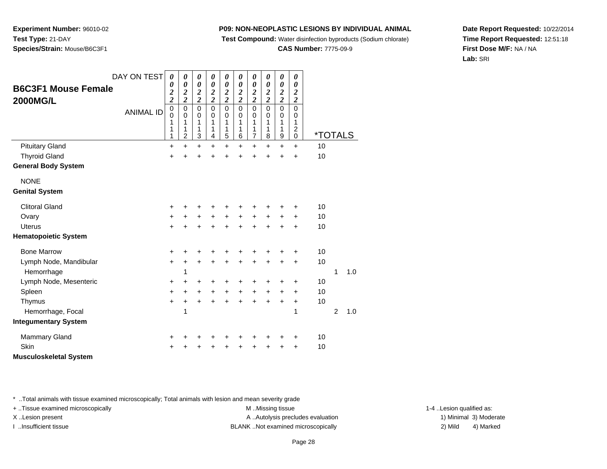**Test Compound:** Water disinfection byproducts (Sodium chlorate)

**CAS Number:** 7775-09-9

**Date Report Requested:** 10/22/2014**Time Report Requested:** 12:51:18**First Dose M/F:** NA / NA**Lab:** SRI

| DAY ON TEST                         | 0                                                            | $\boldsymbol{\theta}$                                 | 0                                             | 0                                                | 0                                      | 0                                             | 0                                                | 0                                             | 0                                                | 0                                                |                       |                |     |  |
|-------------------------------------|--------------------------------------------------------------|-------------------------------------------------------|-----------------------------------------------|--------------------------------------------------|----------------------------------------|-----------------------------------------------|--------------------------------------------------|-----------------------------------------------|--------------------------------------------------|--------------------------------------------------|-----------------------|----------------|-----|--|
| <b>B6C3F1 Mouse Female</b>          | 0<br>$\overline{\mathbf{c}}$                                 | $\boldsymbol{\theta}$<br>$\overline{\mathbf{c}}$      | $\boldsymbol{\theta}$                         | $\boldsymbol{\theta}$                            | 0                                      | $\boldsymbol{\theta}$                         | 0                                                | $\boldsymbol{\theta}$                         | $\boldsymbol{\theta}$                            | 0<br>$\boldsymbol{2}$                            |                       |                |     |  |
| <b>2000MG/L</b><br><b>ANIMAL ID</b> | $\overline{\mathbf{c}}$<br>$\boldsymbol{0}$<br>$\Omega$<br>1 | $\overline{\mathbf{c}}$<br>$\pmb{0}$<br>$\Omega$<br>1 | $\frac{2}{2}$<br>$\mathbf 0$<br>$\Omega$<br>1 | $\frac{2}{2}$<br>$\overline{0}$<br>$\Omega$<br>1 | $\frac{2}{2}$<br>$\mathbf 0$<br>0<br>1 | $\frac{2}{2}$<br>$\mathbf 0$<br>$\Omega$<br>1 | $\frac{2}{2}$<br>$\mathbf 0$<br>$\mathbf 0$<br>1 | $\frac{2}{2}$<br>$\mathbf 0$<br>$\Omega$<br>1 | $\frac{2}{2}$<br>$\mathbf 0$<br>$\mathbf 0$<br>1 | $\overline{\mathbf{c}}$<br>$\mathbf 0$<br>0<br>1 |                       |                |     |  |
|                                     | 1<br>1                                                       | 1<br>$\overline{2}$                                   | 1<br>3                                        | 1<br>4                                           | 1<br>5                                 | 1<br>6                                        | 1<br>$\overline{7}$                              | 1<br>8                                        | 1<br>9                                           | 2<br>$\mathbf 0$                                 | <i><b>*TOTALS</b></i> |                |     |  |
| <b>Pituitary Gland</b>              | +                                                            | $\ddot{}$                                             | +                                             | $\ddot{}$                                        | $\ddot{}$                              | $\ddot{}$                                     | $\ddot{}$                                        | $\ddot{}$                                     | $\ddot{}$                                        | $\ddot{}$                                        | 10                    |                |     |  |
| <b>Thyroid Gland</b>                | $\ddot{}$                                                    |                                                       | +                                             | ÷                                                | +                                      | +                                             | +                                                | +                                             | +                                                | +                                                | 10                    |                |     |  |
| <b>General Body System</b>          |                                                              |                                                       |                                               |                                                  |                                        |                                               |                                                  |                                               |                                                  |                                                  |                       |                |     |  |
| <b>NONE</b>                         |                                                              |                                                       |                                               |                                                  |                                        |                                               |                                                  |                                               |                                                  |                                                  |                       |                |     |  |
| <b>Genital System</b>               |                                                              |                                                       |                                               |                                                  |                                        |                                               |                                                  |                                               |                                                  |                                                  |                       |                |     |  |
| <b>Clitoral Gland</b>               | +                                                            |                                                       |                                               |                                                  |                                        |                                               | +                                                | +                                             |                                                  | +                                                | 10                    |                |     |  |
| Ovary                               | $\ddot{}$                                                    | $\pm$                                                 | +                                             | +                                                | +                                      | +                                             | +                                                | $\ddot{}$                                     | +                                                | +                                                | 10                    |                |     |  |
| <b>Uterus</b>                       | $\ddot{}$                                                    |                                                       |                                               | ÷                                                | $\ddot{}$                              | $\ddot{}$                                     | $\ddot{}$                                        | $\ddot{}$                                     | $\ddot{}$                                        | $\ddot{}$                                        | 10                    |                |     |  |
| <b>Hematopoietic System</b>         |                                                              |                                                       |                                               |                                                  |                                        |                                               |                                                  |                                               |                                                  |                                                  |                       |                |     |  |
| <b>Bone Marrow</b>                  | +                                                            |                                                       |                                               |                                                  |                                        | +                                             | +                                                | +                                             | +                                                | +                                                | 10                    |                |     |  |
| Lymph Node, Mandibular              | $\ddot{}$                                                    | ٠                                                     | ٠                                             | ٠                                                | +                                      | $\ddot{}$                                     | $\ddot{}$                                        | $\ddot{}$                                     | +                                                | +                                                | 10                    |                |     |  |
| Hemorrhage                          |                                                              | 1                                                     |                                               |                                                  |                                        |                                               |                                                  |                                               |                                                  |                                                  |                       | 1              | 1.0 |  |
| Lymph Node, Mesenteric              | +                                                            |                                                       | +                                             | +                                                | +                                      | +                                             | +                                                | +                                             | +                                                | +                                                | 10                    |                |     |  |
| Spleen                              | $\ddot{}$                                                    | +                                                     | $\ddot{}$                                     | +                                                | $\ddot{}$                              | +                                             | +                                                | +                                             | +                                                | +                                                | 10                    |                |     |  |
| Thymus                              | $\ddot{}$                                                    | +                                                     | +                                             | $\ddot{}$                                        | $\ddot{}$                              | $\ddot{}$                                     | $\ddot{}$                                        | $\ddot{}$                                     | $\ddot{}$                                        | +                                                | 10                    |                |     |  |
| Hemorrhage, Focal                   |                                                              | 1                                                     |                                               |                                                  |                                        |                                               |                                                  |                                               |                                                  | 1                                                |                       | $\overline{2}$ | 1.0 |  |
| <b>Integumentary System</b>         |                                                              |                                                       |                                               |                                                  |                                        |                                               |                                                  |                                               |                                                  |                                                  |                       |                |     |  |
| <b>Mammary Gland</b>                | +                                                            |                                                       |                                               |                                                  |                                        | ٠                                             | +                                                | +                                             | +                                                | +                                                | 10                    |                |     |  |
| Skin                                |                                                              |                                                       |                                               |                                                  | +                                      | +                                             | +                                                | +                                             | +                                                | +                                                | 10                    |                |     |  |
| <b>Musculoskeletal System</b>       |                                                              |                                                       |                                               |                                                  |                                        |                                               |                                                  |                                               |                                                  |                                                  |                       |                |     |  |

\* ..Total animals with tissue examined microscopically; Total animals with lesion and mean severity grade

**Experiment Number:** 96010-02

**Species/Strain:** Mouse/B6C3F1

**Test Type:** 21-DAY

+ ..Tissue examined microscopically examined microscopically examined as:  $M$  ..Missing tissue 1-4 ..Lesion qualified as: X..Lesion present **A ..Autolysis precludes evaluation** A ..Autolysis precludes evaluation 1) Minimal 3) Moderate

I ..Insufficient tissue BLANK ..Not examined microscopically 2) Mild 4) Marked